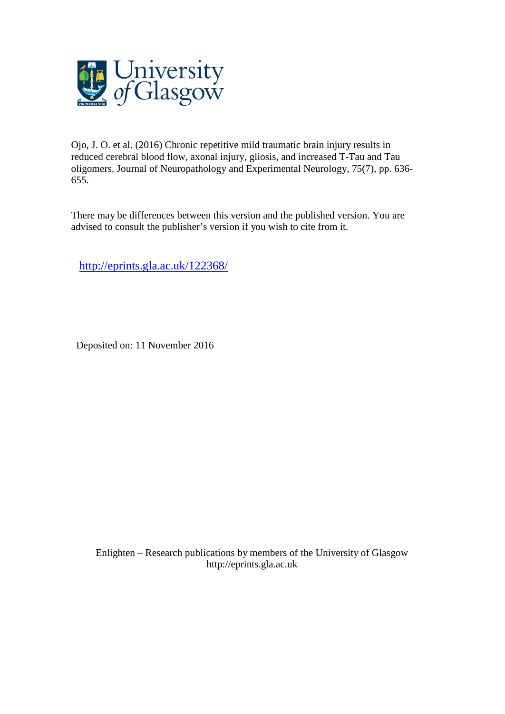

Ojo, J. O. et al. (2016) Chronic repetitive mild traumatic brain injury results in reduced cerebral blood flow, axonal injury, gliosis, and increased T-Tau and Tau oligomers. Journal of Neuropathology and Experimental Neurology, 75(7), pp. 636- 655.

There may be differences between this version and the published version. You are advised to consult the publisher's version if you wish to cite from it.

<http://eprints.gla.ac.uk/122368/>

Deposited on: 11 November 2016

Enlighten – Research publications by members of the University of Glasgo[w](http://eprints.gla.ac.uk/) [http://eprints.gla.ac.uk](http://eprints.gla.ac.uk/)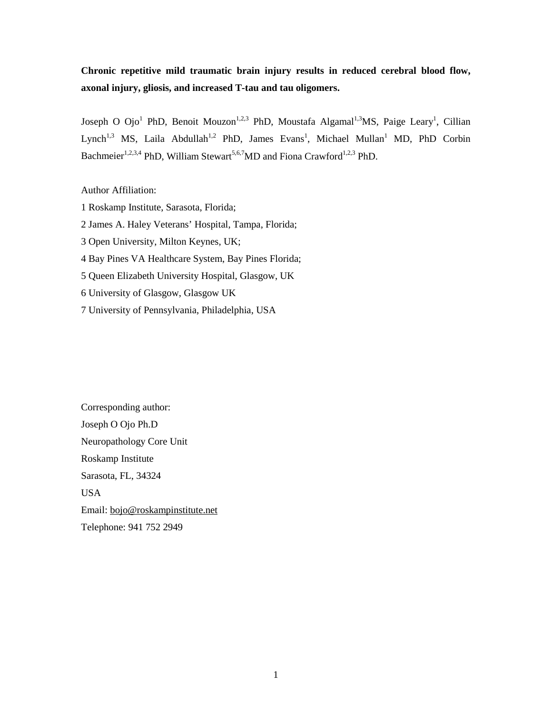# **Chronic repetitive mild traumatic brain injury results in reduced cerebral blood flow, axonal injury, gliosis, and increased T-tau and tau oligomers.**

Joseph O Ojo<sup>1</sup> PhD, Benoit Mouzon<sup>1,2,3</sup> PhD, Moustafa Algamal<sup>1,3</sup>MS, Paige Leary<sup>1</sup>, Cillian Lynch<sup>1,3</sup> MS, Laila Abdullah<sup>1,2</sup> PhD, James Evans<sup>1</sup>, Michael Mullan<sup>1</sup> MD, PhD Corbin Bachmeier<sup>1,2,3,4</sup> PhD, William Stewart<sup>5,6,7</sup>MD and Fiona Crawford<sup>1,2,3</sup> PhD.

## Author Affiliation:

1 Roskamp Institute, Sarasota, Florida; 2 James A. Haley Veterans' Hospital, Tampa, Florida; 3 Open University, Milton Keynes, UK; 4 Bay Pines VA Healthcare System, Bay Pines Florida; 5 Queen Elizabeth University Hospital, Glasgow, UK 6 University of Glasgow, Glasgow UK 7 University of Pennsylvania, Philadelphia, USA

Corresponding author: Joseph O Ojo Ph.D Neuropathology Core Unit Roskamp Institute Sarasota, FL, 34324 USA Email: [bojo@roskampinstitute.net](mailto:bojo@roskampinstitute.net) Telephone: 941 752 2949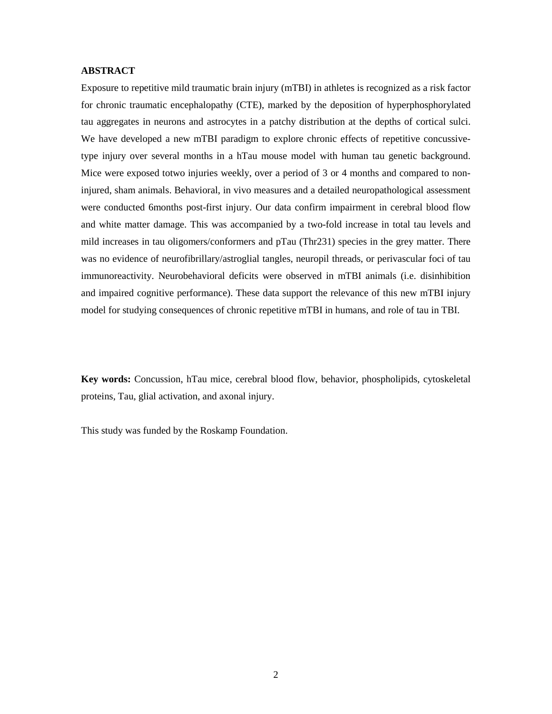### **ABSTRACT**

Exposure to repetitive mild traumatic brain injury (mTBI) in athletes is recognized as a risk factor for chronic traumatic encephalopathy (CTE), marked by the deposition of hyperphosphorylated tau aggregates in neurons and astrocytes in a patchy distribution at the depths of cortical sulci. We have developed a new mTBI paradigm to explore chronic effects of repetitive concussivetype injury over several months in a hTau mouse model with human tau genetic background. Mice were exposed totwo injuries weekly, over a period of 3 or 4 months and compared to noninjured, sham animals. Behavioral, in vivo measures and a detailed neuropathological assessment were conducted 6months post-first injury. Our data confirm impairment in cerebral blood flow and white matter damage. This was accompanied by a two-fold increase in total tau levels and mild increases in tau oligomers/conformers and pTau (Thr231) species in the grey matter. There was no evidence of neurofibrillary/astroglial tangles, neuropil threads, or perivascular foci of tau immunoreactivity. Neurobehavioral deficits were observed in mTBI animals (i.e. disinhibition and impaired cognitive performance). These data support the relevance of this new mTBI injury model for studying consequences of chronic repetitive mTBI in humans, and role of tau in TBI.

**Key words:** Concussion, hTau mice, cerebral blood flow, behavior, phospholipids, cytoskeletal proteins, Tau, glial activation, and axonal injury.

This study was funded by the Roskamp Foundation.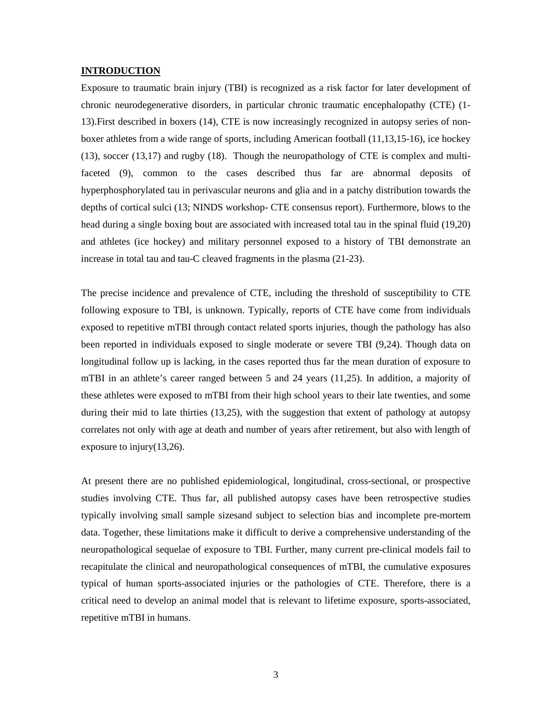#### **INTRODUCTION**

Exposure to traumatic brain injury (TBI) is recognized as a risk factor for later development of chronic neurodegenerative disorders, in particular chronic traumatic encephalopathy (CTE) (1- 13).First described in boxers (14), CTE is now increasingly recognized in autopsy series of nonboxer athletes from a wide range of sports, including American football (11,13,15-16), ice hockey (13), soccer (13,17) and rugby (18). Though the neuropathology of CTE is complex and multifaceted (9), common to the cases described thus far are abnormal deposits of hyperphosphorylated tau in perivascular neurons and glia and in a patchy distribution towards the depths of cortical sulci (13; NINDS workshop- CTE consensus report). Furthermore, blows to the head during a single boxing bout are associated with increased total tau in the spinal fluid (19,20) and athletes (ice hockey) and military personnel exposed to a history of TBI demonstrate an increase in total tau and tau-C cleaved fragments in the plasma (21-23).

The precise incidence and prevalence of CTE, including the threshold of susceptibility to CTE following exposure to TBI, is unknown. Typically, reports of CTE have come from individuals exposed to repetitive mTBI through contact related sports injuries, though the pathology has also been reported in individuals exposed to single moderate or severe TBI (9,24). Though data on longitudinal follow up is lacking, in the cases reported thus far the mean duration of exposure to mTBI in an athlete's career ranged between 5 and 24 years (11,25). In addition, a majority of these athletes were exposed to mTBI from their high school years to their late twenties, and some during their mid to late thirties (13,25), with the suggestion that extent of pathology at autopsy correlates not only with age at death and number of years after retirement, but also with length of exposure to injury(13,26).

At present there are no published epidemiological, longitudinal, cross-sectional, or prospective studies involving CTE. Thus far, all published autopsy cases have been retrospective studies typically involving small sample sizesand subject to selection bias and incomplete pre-mortem data. Together, these limitations make it difficult to derive a comprehensive understanding of the neuropathological sequelae of exposure to TBI. Further, many current pre-clinical models fail to recapitulate the clinical and neuropathological consequences of mTBI, the cumulative exposures typical of human sports-associated injuries or the pathologies of CTE. Therefore, there is a critical need to develop an animal model that is relevant to lifetime exposure, sports-associated, repetitive mTBI in humans.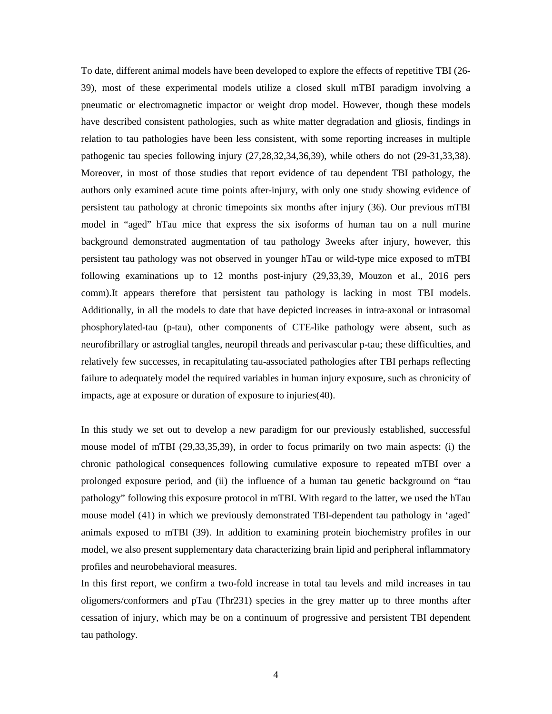To date, different animal models have been developed to explore the effects of repetitive TBI (26- 39), most of these experimental models utilize a closed skull mTBI paradigm involving a pneumatic or electromagnetic impactor or weight drop model. However, though these models have described consistent pathologies, such as white matter degradation and gliosis, findings in relation to tau pathologies have been less consistent, with some reporting increases in multiple pathogenic tau species following injury (27,28,32,34,36,39), while others do not (29-31,33,38). Moreover, in most of those studies that report evidence of tau dependent TBI pathology, the authors only examined acute time points after-injury, with only one study showing evidence of persistent tau pathology at chronic timepoints six months after injury (36). Our previous mTBI model in "aged" hTau mice that express the six isoforms of human tau on a null murine background demonstrated augmentation of tau pathology 3weeks after injury, however, this persistent tau pathology was not observed in younger hTau or wild-type mice exposed to mTBI following examinations up to 12 months post-injury (29,33,39, Mouzon et al., 2016 pers comm).It appears therefore that persistent tau pathology is lacking in most TBI models. Additionally, in all the models to date that have depicted increases in intra-axonal or intrasomal phosphorylated-tau (p-tau), other components of CTE-like pathology were absent, such as neurofibrillary or astroglial tangles, neuropil threads and perivascular p-tau; these difficulties, and relatively few successes, in recapitulating tau-associated pathologies after TBI perhaps reflecting failure to adequately model the required variables in human injury exposure, such as chronicity of impacts, age at exposure or duration of exposure to injuries(40).

In this study we set out to develop a new paradigm for our previously established, successful mouse model of mTBI (29,33,35,39), in order to focus primarily on two main aspects: (i) the chronic pathological consequences following cumulative exposure to repeated mTBI over a prolonged exposure period, and (ii) the influence of a human tau genetic background on "tau pathology" following this exposure protocol in mTBI. With regard to the latter, we used the hTau mouse model (41) in which we previously demonstrated TBI-dependent tau pathology in 'aged' animals exposed to mTBI (39). In addition to examining protein biochemistry profiles in our model, we also present supplementary data characterizing brain lipid and peripheral inflammatory profiles and neurobehavioral measures.

In this first report, we confirm a two-fold increase in total tau levels and mild increases in tau oligomers/conformers and pTau (Thr231) species in the grey matter up to three months after cessation of injury, which may be on a continuum of progressive and persistent TBI dependent tau pathology.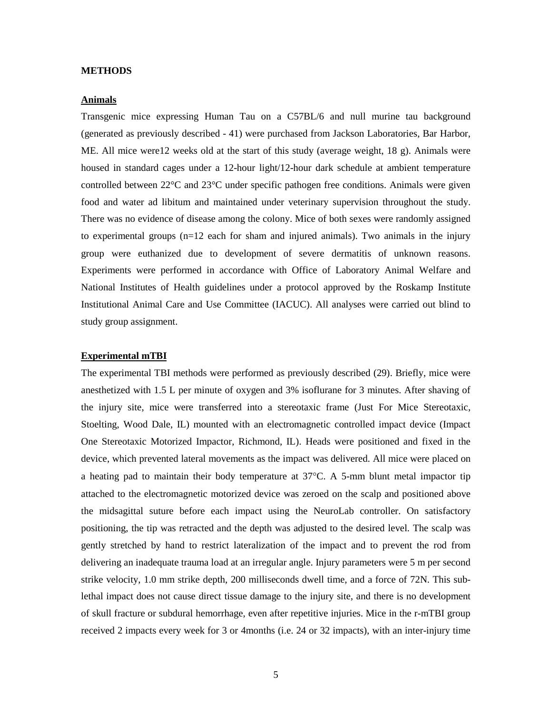#### **METHODS**

### **Animals**

Transgenic mice expressing Human Tau on a C57BL/6 and null murine tau background (generated as previously described - 41) were purchased from Jackson Laboratories, Bar Harbor, ME. All mice were12 weeks old at the start of this study (average weight, 18 g). Animals were housed in standard cages under a 12-hour light/12-hour dark schedule at ambient temperature controlled between 22°C and 23°C under specific pathogen free conditions. Animals were given food and water ad libitum and maintained under veterinary supervision throughout the study. There was no evidence of disease among the colony. Mice of both sexes were randomly assigned to experimental groups (n=12 each for sham and injured animals). Two animals in the injury group were euthanized due to development of severe dermatitis of unknown reasons. Experiments were performed in accordance with Office of Laboratory Animal Welfare and National Institutes of Health guidelines under a protocol approved by the Roskamp Institute Institutional Animal Care and Use Committee (IACUC). All analyses were carried out blind to study group assignment.

### **Experimental mTBI**

The experimental TBI methods were performed as previously described (29). Briefly, mice were anesthetized with 1.5 L per minute of oxygen and 3% isoflurane for 3 minutes. After shaving of the injury site, mice were transferred into a stereotaxic frame (Just For Mice Stereotaxic, Stoelting, Wood Dale, IL) mounted with an electromagnetic controlled impact device (Impact One Stereotaxic Motorized Impactor, Richmond, IL). Heads were positioned and fixed in the device, which prevented lateral movements as the impact was delivered. All mice were placed on a heating pad to maintain their body temperature at 37°C. A 5-mm blunt metal impactor tip attached to the electromagnetic motorized device was zeroed on the scalp and positioned above the midsagittal suture before each impact using the NeuroLab controller. On satisfactory positioning, the tip was retracted and the depth was adjusted to the desired level. The scalp was gently stretched by hand to restrict lateralization of the impact and to prevent the rod from delivering an inadequate trauma load at an irregular angle. Injury parameters were 5 m per second strike velocity, 1.0 mm strike depth, 200 milliseconds dwell time, and a force of 72N. This sublethal impact does not cause direct tissue damage to the injury site, and there is no development of skull fracture or subdural hemorrhage, even after repetitive injuries. Mice in the r-mTBI group received 2 impacts every week for 3 or 4months (i.e. 24 or 32 impacts), with an inter-injury time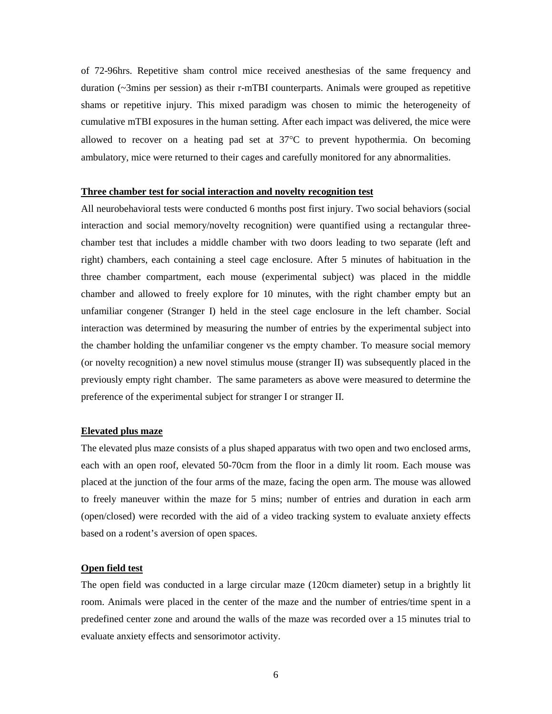of 72-96hrs. Repetitive sham control mice received anesthesias of the same frequency and duration (~3mins per session) as their r-mTBI counterparts. Animals were grouped as repetitive shams or repetitive injury. This mixed paradigm was chosen to mimic the heterogeneity of cumulative mTBI exposures in the human setting. After each impact was delivered, the mice were allowed to recover on a heating pad set at  $37^{\circ}$ C to prevent hypothermia. On becoming ambulatory, mice were returned to their cages and carefully monitored for any abnormalities.

#### **Three chamber test for social interaction and novelty recognition test**

All neurobehavioral tests were conducted 6 months post first injury. Two social behaviors (social interaction and social memory/novelty recognition) were quantified using a rectangular threechamber test that includes a middle chamber with two doors leading to two separate (left and right) chambers, each containing a steel cage enclosure. After 5 minutes of habituation in the three chamber compartment, each mouse (experimental subject) was placed in the middle chamber and allowed to freely explore for 10 minutes, with the right chamber empty but an unfamiliar congener (Stranger I) held in the steel cage enclosure in the left chamber. Social interaction was determined by measuring the number of entries by the experimental subject into the chamber holding the unfamiliar congener vs the empty chamber. To measure social memory (or novelty recognition) a new novel stimulus mouse (stranger II) was subsequently placed in the previously empty right chamber. The same parameters as above were measured to determine the preference of the experimental subject for stranger I or stranger II.

### **Elevated plus maze**

The elevated plus maze consists of a plus shaped apparatus with two open and two enclosed arms, each with an open roof, elevated 50-70cm from the floor in a dimly lit room. Each mouse was placed at the junction of the four arms of the maze, facing the open arm. The mouse was allowed to freely maneuver within the maze for 5 mins; number of entries and duration in each arm (open/closed) were recorded with the aid of a video tracking system to evaluate anxiety effects based on a rodent's aversion of open spaces.

#### **Open field test**

The open field was conducted in a large circular maze (120cm diameter) setup in a brightly lit room. Animals were placed in the center of the maze and the number of entries/time spent in a predefined center zone and around the walls of the maze was recorded over a 15 minutes trial to evaluate anxiety effects and sensorimotor activity.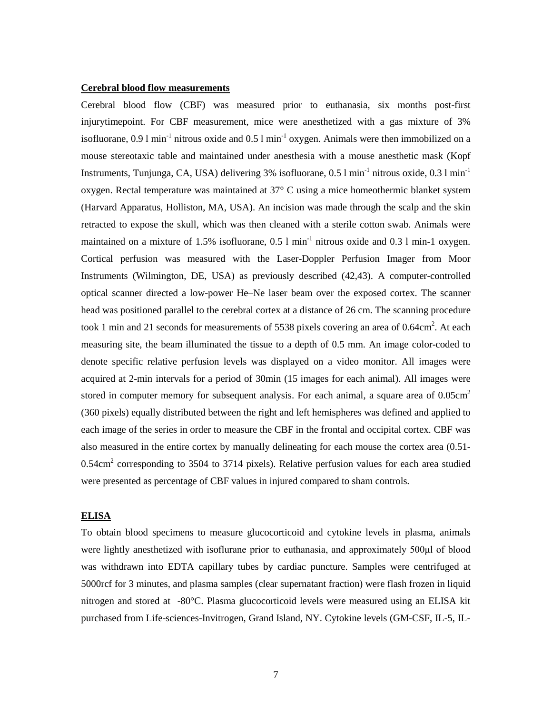### **Cerebral blood flow measurements**

Cerebral blood flow (CBF) was measured prior to euthanasia, six months post-first injurytimepoint. For CBF measurement, mice were anesthetized with a gas mixture of 3% isofluorane, 0.9 l min<sup>-1</sup> nitrous oxide and 0.5 l min<sup>-1</sup> oxygen. Animals were then immobilized on a mouse stereotaxic table and maintained under anesthesia with a mouse anesthetic mask (Kopf Instruments, Tunjunga, CA, USA) delivering  $3\%$  isofluorane, 0.5 l min<sup>-1</sup> nitrous oxide, 0.3 l min<sup>-1</sup> oxygen. Rectal temperature was maintained at 37° C using a mice homeothermic blanket system (Harvard Apparatus, Holliston, MA, USA). An incision was made through the scalp and the skin retracted to expose the skull, which was then cleaned with a sterile cotton swab. Animals were maintained on a mixture of 1.5% isofluorane,  $0.5 \text{ l min}^{-1}$  nitrous oxide and  $0.3 \text{ l min}$ -1 oxygen. Cortical perfusion was measured with the Laser-Doppler Perfusion Imager from Moor Instruments (Wilmington, DE, USA) as previously described (42,43). A computer-controlled optical scanner directed a low-power He–Ne laser beam over the exposed cortex. The scanner head was positioned parallel to the cerebral cortex at a distance of 26 cm. The scanning procedure took 1 min and 21 seconds for measurements of 5538 pixels covering an area of  $0.64 \text{cm}^2$ . At each measuring site, the beam illuminated the tissue to a depth of 0.5 mm. An image color-coded to denote specific relative perfusion levels was displayed on a video monitor. All images were acquired at 2-min intervals for a period of 30min (15 images for each animal). All images were stored in computer memory for subsequent analysis. For each animal, a square area of  $0.05 \text{cm}^2$ (360 pixels) equally distributed between the right and left hemispheres was defined and applied to each image of the series in order to measure the CBF in the frontal and occipital cortex. CBF was also measured in the entire cortex by manually delineating for each mouse the cortex area (0.51-  $0.54 \text{cm}^2$  corresponding to 3504 to 3714 pixels). Relative perfusion values for each area studied were presented as percentage of CBF values in injured compared to sham controls.

### **ELISA**

To obtain blood specimens to measure glucocorticoid and cytokine levels in plasma, animals were lightly anesthetized with isoflurane prior to euthanasia, and approximately 500μl of blood was withdrawn into EDTA capillary tubes by cardiac puncture. Samples were centrifuged at 5000rcf for 3 minutes, and plasma samples (clear supernatant fraction) were flash frozen in liquid nitrogen and stored at -80°C. Plasma glucocorticoid levels were measured using an ELISA kit purchased from Life-sciences-Invitrogen, Grand Island, NY. Cytokine levels (GM-CSF, IL-5, IL-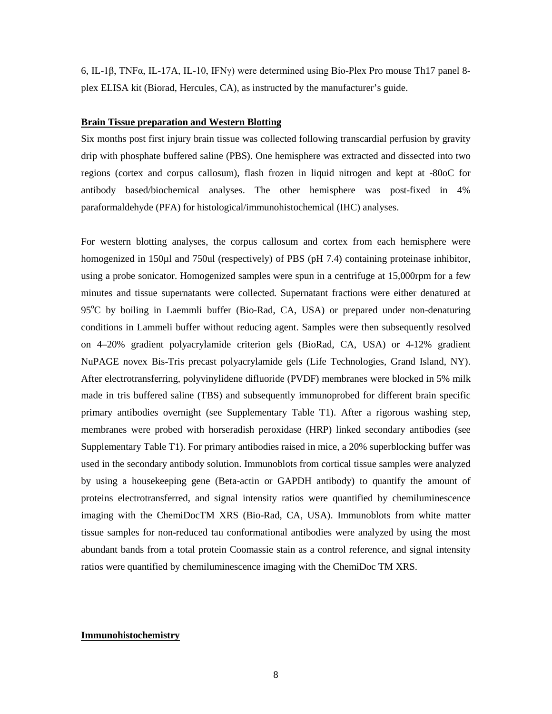6, IL-1β, TNFα, IL-17A, IL-10, IFNγ) were determined using Bio-Plex Pro mouse Th17 panel 8 plex ELISA kit (Biorad, Hercules, CA), as instructed by the manufacturer's guide.

### **Brain Tissue preparation and Western Blotting**

Six months post first injury brain tissue was collected following transcardial perfusion by gravity drip with phosphate buffered saline (PBS). One hemisphere was extracted and dissected into two regions (cortex and corpus callosum), flash frozen in liquid nitrogen and kept at -80oC for antibody based/biochemical analyses. The other hemisphere was post-fixed in 4% paraformaldehyde (PFA) for histological/immunohistochemical (IHC) analyses.

For western blotting analyses, the corpus callosum and cortex from each hemisphere were homogenized in 150ul and 750ul (respectively) of PBS (pH 7.4) containing proteinase inhibitor, using a probe sonicator. Homogenized samples were spun in a centrifuge at 15,000rpm for a few minutes and tissue supernatants were collected. Supernatant fractions were either denatured at 95°C by boiling in Laemmli buffer (Bio-Rad, CA, USA) or prepared under non-denaturing conditions in Lammeli buffer without reducing agent. Samples were then subsequently resolved on 4–20% gradient polyacrylamide criterion gels (BioRad, CA, USA) or 4-12% gradient NuPAGE novex Bis-Tris precast polyacrylamide gels (Life Technologies, Grand Island, NY). After electrotransferring, polyvinylidene difluoride (PVDF) membranes were blocked in 5% milk made in tris buffered saline (TBS) and subsequently immunoprobed for different brain specific primary antibodies overnight (see Supplementary Table T1). After a rigorous washing step, membranes were probed with horseradish peroxidase (HRP) linked secondary antibodies (see Supplementary Table T1). For primary antibodies raised in mice, a 20% superblocking buffer was used in the secondary antibody solution. Immunoblots from cortical tissue samples were analyzed by using a housekeeping gene (Beta-actin or GAPDH antibody) to quantify the amount of proteins electrotransferred, and signal intensity ratios were quantified by chemiluminescence imaging with the ChemiDocTM XRS (Bio-Rad, CA, USA). Immunoblots from white matter tissue samples for non-reduced tau conformational antibodies were analyzed by using the most abundant bands from a total protein Coomassie stain as a control reference, and signal intensity ratios were quantified by chemiluminescence imaging with the ChemiDoc TM XRS.

#### **Immunohistochemistry**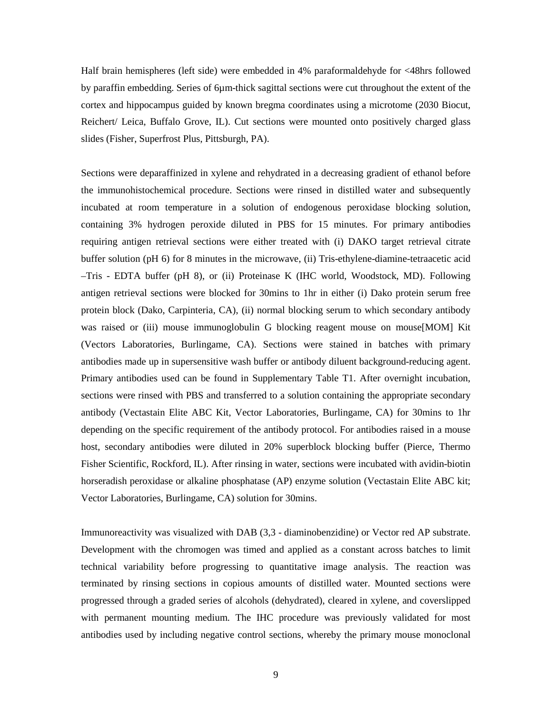Half brain hemispheres (left side) were embedded in 4% paraformaldehyde for <48hrs followed by paraffin embedding. Series of 6µm-thick sagittal sections were cut throughout the extent of the cortex and hippocampus guided by known bregma coordinates using a microtome (2030 Biocut, Reichert/ Leica, Buffalo Grove, IL). Cut sections were mounted onto positively charged glass slides (Fisher, Superfrost Plus, Pittsburgh, PA).

Sections were deparaffinized in xylene and rehydrated in a decreasing gradient of ethanol before the immunohistochemical procedure. Sections were rinsed in distilled water and subsequently incubated at room temperature in a solution of endogenous peroxidase blocking solution, containing 3% hydrogen peroxide diluted in PBS for 15 minutes. For primary antibodies requiring antigen retrieval sections were either treated with (i) DAKO target retrieval citrate buffer solution (pH 6) for 8 minutes in the microwave, (ii) Tris-ethylene-diamine-tetraacetic acid –Tris - EDTA buffer (pH 8), or (ii) Proteinase K (IHC world, Woodstock, MD). Following antigen retrieval sections were blocked for 30mins to 1hr in either (i) Dako protein serum free protein block (Dako, Carpinteria, CA), (ii) normal blocking serum to which secondary antibody was raised or (iii) mouse immunoglobulin G blocking reagent mouse on mouse[MOM] Kit (Vectors Laboratories, Burlingame, CA). Sections were stained in batches with primary antibodies made up in supersensitive wash buffer or antibody diluent background-reducing agent. Primary antibodies used can be found in Supplementary Table T1. After overnight incubation, sections were rinsed with PBS and transferred to a solution containing the appropriate secondary antibody (Vectastain Elite ABC Kit, Vector Laboratories, Burlingame, CA) for 30mins to 1hr depending on the specific requirement of the antibody protocol. For antibodies raised in a mouse host, secondary antibodies were diluted in 20% superblock blocking buffer (Pierce, Thermo Fisher Scientific, Rockford, IL). After rinsing in water, sections were incubated with avidin-biotin horseradish peroxidase or alkaline phosphatase (AP) enzyme solution (Vectastain Elite ABC kit; Vector Laboratories, Burlingame, CA) solution for 30mins.

Immunoreactivity was visualized with DAB (3,3 - diaminobenzidine) or Vector red AP substrate. Development with the chromogen was timed and applied as a constant across batches to limit technical variability before progressing to quantitative image analysis. The reaction was terminated by rinsing sections in copious amounts of distilled water. Mounted sections were progressed through a graded series of alcohols (dehydrated), cleared in xylene, and coverslipped with permanent mounting medium. The IHC procedure was previously validated for most antibodies used by including negative control sections, whereby the primary mouse monoclonal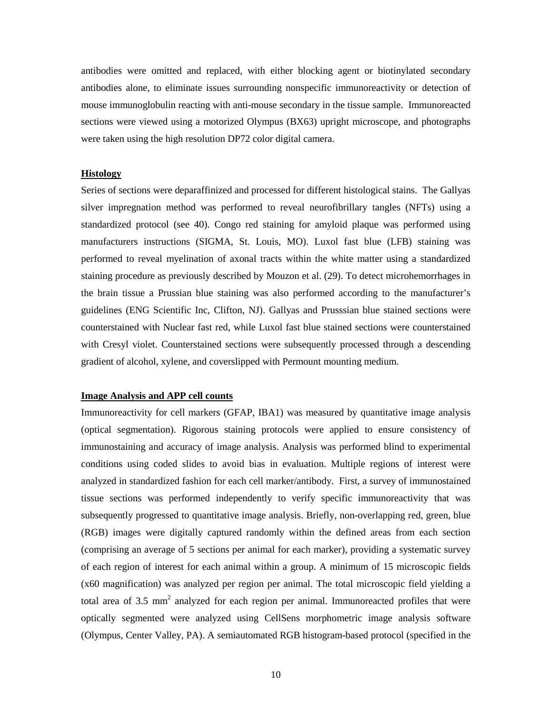antibodies were omitted and replaced, with either blocking agent or biotinylated secondary antibodies alone, to eliminate issues surrounding nonspecific immunoreactivity or detection of mouse immunoglobulin reacting with anti-mouse secondary in the tissue sample. Immunoreacted sections were viewed using a motorized Olympus (BX63) upright microscope, and photographs were taken using the high resolution DP72 color digital camera.

#### **Histology**

Series of sections were deparaffinized and processed for different histological stains. The Gallyas silver impregnation method was performed to reveal neurofibrillary tangles (NFTs) using a standardized protocol (see 40). Congo red staining for amyloid plaque was performed using manufacturers instructions (SIGMA, St. Louis, MO). Luxol fast blue (LFB) staining was performed to reveal myelination of axonal tracts within the white matter using a standardized staining procedure as previously described by Mouzon et al. (29). To detect microhemorrhages in the brain tissue a Prussian blue staining was also performed according to the manufacturer's guidelines (ENG Scientific Inc, Clifton, NJ). Gallyas and Prusssian blue stained sections were counterstained with Nuclear fast red, while Luxol fast blue stained sections were counterstained with Cresyl violet. Counterstained sections were subsequently processed through a descending gradient of alcohol, xylene, and coverslipped with Permount mounting medium.

### **Image Analysis and APP cell counts**

Immunoreactivity for cell markers (GFAP, IBA1) was measured by quantitative image analysis (optical segmentation). Rigorous staining protocols were applied to ensure consistency of immunostaining and accuracy of image analysis. Analysis was performed blind to experimental conditions using coded slides to avoid bias in evaluation. Multiple regions of interest were analyzed in standardized fashion for each cell marker/antibody. First, a survey of immunostained tissue sections was performed independently to verify specific immunoreactivity that was subsequently progressed to quantitative image analysis. Briefly, non-overlapping red, green, blue (RGB) images were digitally captured randomly within the defined areas from each section (comprising an average of 5 sections per animal for each marker), providing a systematic survey of each region of interest for each animal within a group. A minimum of 15 microscopic fields (x60 magnification) was analyzed per region per animal. The total microscopic field yielding a total area of 3.5  $mm<sup>2</sup>$  analyzed for each region per animal. Immunoreacted profiles that were optically segmented were analyzed using CellSens morphometric image analysis software (Olympus, Center Valley, PA). A semiautomated RGB histogram-based protocol (specified in the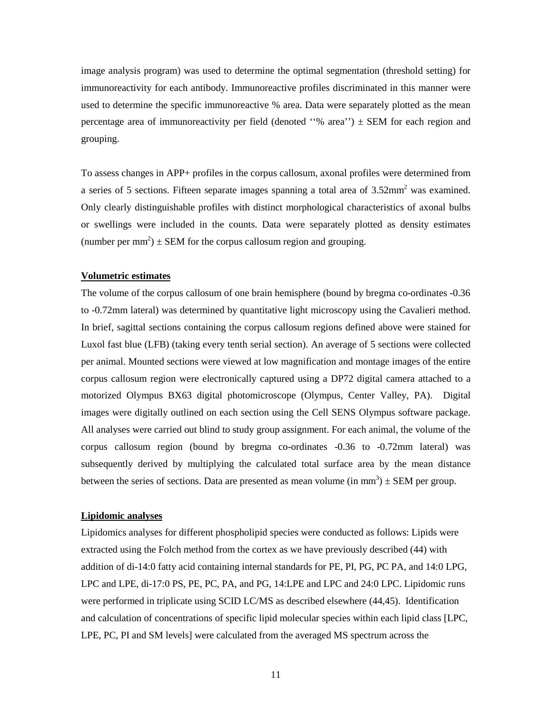image analysis program) was used to determine the optimal segmentation (threshold setting) for immunoreactivity for each antibody. Immunoreactive profiles discriminated in this manner were used to determine the specific immunoreactive % area. Data were separately plotted as the mean percentage area of immunoreactivity per field (denoted ''% area'') ± SEM for each region and grouping.

To assess changes in APP+ profiles in the corpus callosum, axonal profiles were determined from a series of 5 sections. Fifteen separate images spanning a total area of  $3.52$ mm<sup>2</sup> was examined. Only clearly distinguishable profiles with distinct morphological characteristics of axonal bulbs or swellings were included in the counts. Data were separately plotted as density estimates (number per mm<sup>2</sup>)  $\pm$  SEM for the corpus callosum region and grouping.

### **Volumetric estimates**

The volume of the corpus callosum of one brain hemisphere (bound by bregma co-ordinates -0.36 to -0.72mm lateral) was determined by quantitative light microscopy using the Cavalieri method. In brief, sagittal sections containing the corpus callosum regions defined above were stained for Luxol fast blue (LFB) (taking every tenth serial section). An average of 5 sections were collected per animal. Mounted sections were viewed at low magnification and montage images of the entire corpus callosum region were electronically captured using a DP72 digital camera attached to a motorized Olympus BX63 digital photomicroscope (Olympus, Center Valley, PA). Digital images were digitally outlined on each section using the Cell SENS Olympus software package. All analyses were carried out blind to study group assignment. For each animal, the volume of the corpus callosum region (bound by bregma co-ordinates -0.36 to -0.72mm lateral) was subsequently derived by multiplying the calculated total surface area by the mean distance between the series of sections. Data are presented as mean volume  $(in \, mm^3) \pm SEM$  per group.

#### **Lipidomic analyses**

Lipidomics analyses for different phospholipid species were conducted as follows: Lipids were extracted using the Folch method from the cortex as we have previously described (44) with addition of di-14:0 fatty acid containing internal standards for PE, PI, PG, PC PA, and 14:0 LPG, LPC and LPE, di-17:0 PS, PE, PC, PA, and PG, 14:LPE and LPC and 24:0 LPC. Lipidomic runs were performed in triplicate using SCID LC/MS as described elsewhere (44,45). Identification and calculation of concentrations of specific lipid molecular species within each lipid class [LPC, LPE, PC, PI and SM levels] were calculated from the averaged MS spectrum across the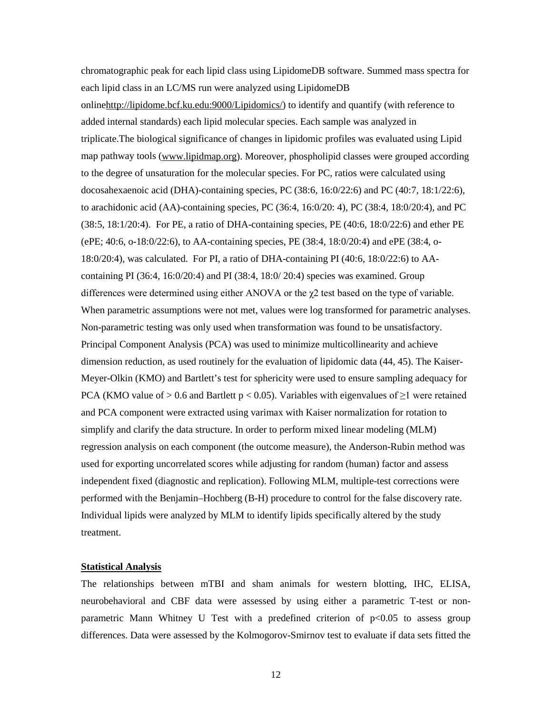chromatographic peak for each lipid class using LipidomeDB software. Summed mass spectra for each lipid class in an LC/MS run were analyzed using LipidomeDB onlin[ehttp://lipidome.bcf.ku.edu:9000/Lipidomics/\)](http://lipidome.bcf.ku.edu:9000/Lipidomics/) to identify and quantify (with reference to added internal standards) each lipid molecular species. Each sample was analyzed in triplicate.The biological significance of changes in lipidomic profiles was evaluated using Lipid map pathway tools [\(www.lipidmap.org\)](http://www.lipidmap.org/). Moreover, phospholipid classes were grouped according to the degree of unsaturation for the molecular species. For PC, ratios were calculated using docosahexaenoic acid (DHA)-containing species, PC (38:6, 16:0/22:6) and PC (40:7, 18:1/22:6), to arachidonic acid (AA)-containing species, PC (36:4, 16:0/20: 4), PC (38:4, 18:0/20:4), and PC (38:5, 18:1/20:4). For PE, a ratio of DHA-containing species, PE (40:6, 18:0/22:6) and ether PE (ePE; 40:6, o-18:0/22:6), to AA-containing species, PE (38:4, 18:0/20:4) and ePE (38:4, o-18:0/20:4), was calculated. For PI, a ratio of DHA-containing PI (40:6, 18:0/22:6) to AAcontaining PI (36:4, 16:0/20:4) and PI (38:4, 18:0/20:4) species was examined. Group differences were determined using either ANOVA or the  $\chi$ 2 test based on the type of variable. When parametric assumptions were not met, values were log transformed for parametric analyses. Non-parametric testing was only used when transformation was found to be unsatisfactory. Principal Component Analysis (PCA) was used to minimize multicollinearity and achieve dimension reduction, as used routinely for the evaluation of lipidomic data (44, 45). The Kaiser-Meyer-Olkin (KMO) and Bartlett's test for sphericity were used to ensure sampling adequacy for PCA (KMO value of > 0.6 and Bartlett  $p < 0.05$ ). Variables with eigenvalues of  $\geq 1$  were retained and PCA component were extracted using varimax with Kaiser normalization for rotation to simplify and clarify the data structure. In order to perform mixed linear modeling (MLM) regression analysis on each component (the outcome measure), the Anderson-Rubin method was used for exporting uncorrelated scores while adjusting for random (human) factor and assess independent fixed (diagnostic and replication). Following MLM, multiple-test corrections were performed with the Benjamin–Hochberg (B-H) procedure to control for the false discovery rate. Individual lipids were analyzed by MLM to identify lipids specifically altered by the study treatment.

### **Statistical Analysis**

The relationships between mTBI and sham animals for western blotting, IHC, ELISA, neurobehavioral and CBF data were assessed by using either a parametric T-test or nonparametric Mann Whitney U Test with a predefined criterion of p<0.05 to assess group differences. Data were assessed by the Kolmogorov-Smirnov test to evaluate if data sets fitted the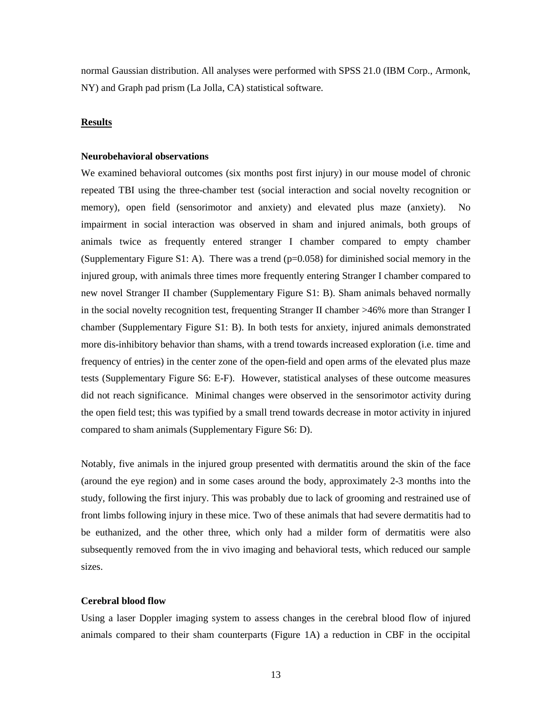normal Gaussian distribution. All analyses were performed with SPSS 21.0 (IBM Corp., Armonk, NY) and Graph pad prism (La Jolla, CA) statistical software.

### **Results**

### **Neurobehavioral observations**

We examined behavioral outcomes (six months post first injury) in our mouse model of chronic repeated TBI using the three-chamber test (social interaction and social novelty recognition or memory), open field (sensorimotor and anxiety) and elevated plus maze (anxiety). No impairment in social interaction was observed in sham and injured animals, both groups of animals twice as frequently entered stranger I chamber compared to empty chamber (Supplementary Figure S1: A). There was a trend  $(p=0.058)$  for diminished social memory in the injured group, with animals three times more frequently entering Stranger I chamber compared to new novel Stranger II chamber (Supplementary Figure S1: B). Sham animals behaved normally in the social novelty recognition test, frequenting Stranger II chamber >46% more than Stranger I chamber (Supplementary Figure S1: B). In both tests for anxiety, injured animals demonstrated more dis-inhibitory behavior than shams, with a trend towards increased exploration (i.e. time and frequency of entries) in the center zone of the open-field and open arms of the elevated plus maze tests (Supplementary Figure S6: E-F). However, statistical analyses of these outcome measures did not reach significance. Minimal changes were observed in the sensorimotor activity during the open field test; this was typified by a small trend towards decrease in motor activity in injured compared to sham animals (Supplementary Figure S6: D).

Notably, five animals in the injured group presented with dermatitis around the skin of the face (around the eye region) and in some cases around the body, approximately 2-3 months into the study, following the first injury. This was probably due to lack of grooming and restrained use of front limbs following injury in these mice. Two of these animals that had severe dermatitis had to be euthanized, and the other three, which only had a milder form of dermatitis were also subsequently removed from the in vivo imaging and behavioral tests, which reduced our sample sizes.

#### **Cerebral blood flow**

Using a laser Doppler imaging system to assess changes in the cerebral blood flow of injured animals compared to their sham counterparts (Figure 1A) a reduction in CBF in the occipital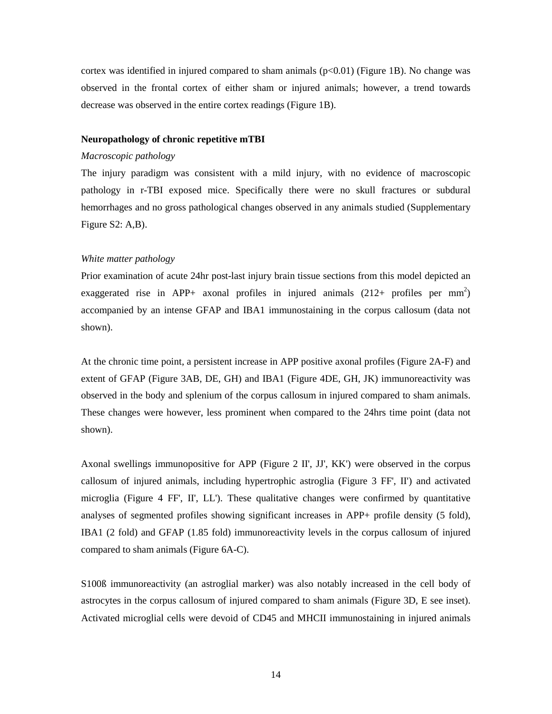cortex was identified in injured compared to sham animals  $(p<0.01)$  (Figure 1B). No change was observed in the frontal cortex of either sham or injured animals; however, a trend towards decrease was observed in the entire cortex readings (Figure 1B).

### **Neuropathology of chronic repetitive mTBI**

#### *Macroscopic pathology*

The injury paradigm was consistent with a mild injury, with no evidence of macroscopic pathology in r-TBI exposed mice. Specifically there were no skull fractures or subdural hemorrhages and no gross pathological changes observed in any animals studied (Supplementary Figure S2: A,B).

### *White matter pathology*

Prior examination of acute 24hr post-last injury brain tissue sections from this model depicted an exaggerated rise in APP+ axonal profiles in injured animals  $(212+)$  profiles per mm<sup>2</sup>) accompanied by an intense GFAP and IBA1 immunostaining in the corpus callosum (data not shown).

At the chronic time point, a persistent increase in APP positive axonal profiles (Figure 2A-F) and extent of GFAP (Figure 3AB, DE, GH) and IBA1 (Figure 4DE, GH, JK) immunoreactivity was observed in the body and splenium of the corpus callosum in injured compared to sham animals. These changes were however, less prominent when compared to the 24hrs time point (data not shown).

Axonal swellings immunopositive for APP (Figure 2 II', JJ', KK') were observed in the corpus callosum of injured animals, including hypertrophic astroglia (Figure 3 FF', II') and activated microglia (Figure 4 FF', II', LL'). These qualitative changes were confirmed by quantitative analyses of segmented profiles showing significant increases in APP+ profile density (5 fold), IBA1 (2 fold) and GFAP (1.85 fold) immunoreactivity levels in the corpus callosum of injured compared to sham animals (Figure 6A-C).

S100ß immunoreactivity (an astroglial marker) was also notably increased in the cell body of astrocytes in the corpus callosum of injured compared to sham animals (Figure 3D, E see inset). Activated microglial cells were devoid of CD45 and MHCII immunostaining in injured animals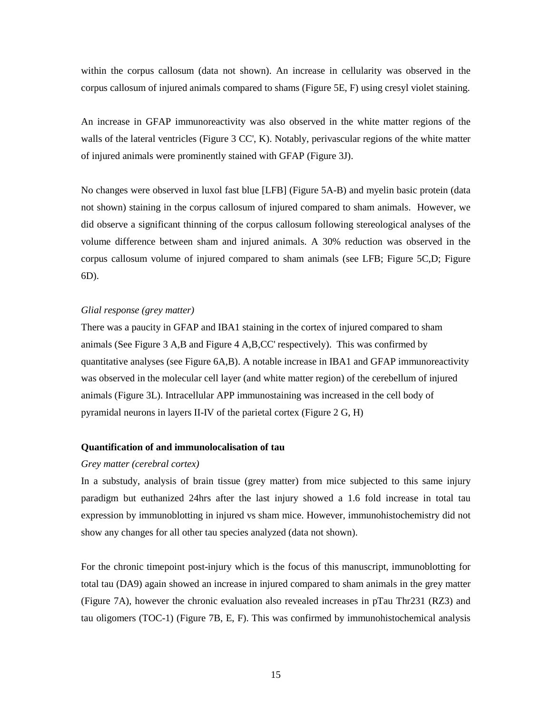within the corpus callosum (data not shown). An increase in cellularity was observed in the corpus callosum of injured animals compared to shams (Figure 5E, F) using cresyl violet staining.

An increase in GFAP immunoreactivity was also observed in the white matter regions of the walls of the lateral ventricles (Figure 3 CC', K). Notably, perivascular regions of the white matter of injured animals were prominently stained with GFAP (Figure 3J).

No changes were observed in luxol fast blue [LFB] (Figure 5A-B) and myelin basic protein (data not shown) staining in the corpus callosum of injured compared to sham animals. However, we did observe a significant thinning of the corpus callosum following stereological analyses of the volume difference between sham and injured animals. A 30% reduction was observed in the corpus callosum volume of injured compared to sham animals (see LFB; Figure 5C,D; Figure 6D).

### *Glial response (grey matter)*

There was a paucity in GFAP and IBA1 staining in the cortex of injured compared to sham animals (See Figure 3 A,B and Figure 4 A,B,CC' respectively). This was confirmed by quantitative analyses (see Figure 6A,B). A notable increase in IBA1 and GFAP immunoreactivity was observed in the molecular cell layer (and white matter region) of the cerebellum of injured animals (Figure 3L). Intracellular APP immunostaining was increased in the cell body of pyramidal neurons in layers II-IV of the parietal cortex (Figure 2 G, H)

### **Quantification of and immunolocalisation of tau**

#### *Grey matter (cerebral cortex)*

In a substudy, analysis of brain tissue (grey matter) from mice subjected to this same injury paradigm but euthanized 24hrs after the last injury showed a 1.6 fold increase in total tau expression by immunoblotting in injured vs sham mice. However, immunohistochemistry did not show any changes for all other tau species analyzed (data not shown).

For the chronic timepoint post-injury which is the focus of this manuscript, immunoblotting for total tau (DA9) again showed an increase in injured compared to sham animals in the grey matter (Figure 7A), however the chronic evaluation also revealed increases in pTau Thr231 (RZ3) and tau oligomers (TOC-1) (Figure 7B, E, F). This was confirmed by immunohistochemical analysis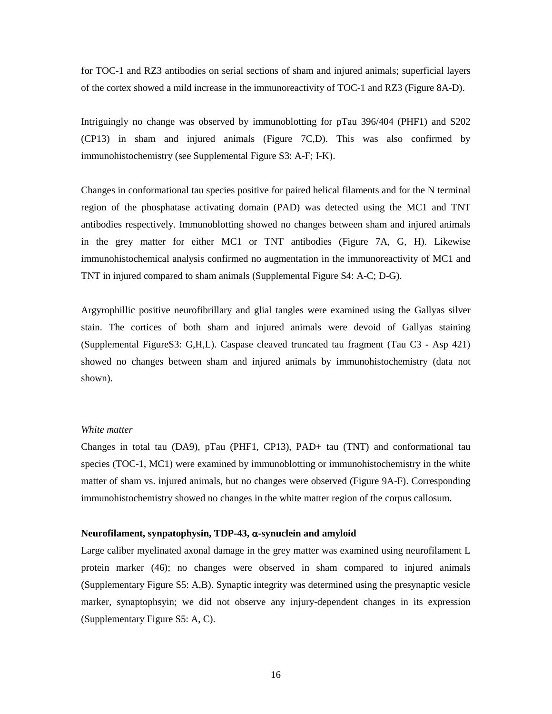for TOC-1 and RZ3 antibodies on serial sections of sham and injured animals; superficial layers of the cortex showed a mild increase in the immunoreactivity of TOC-1 and RZ3 (Figure 8A-D).

Intriguingly no change was observed by immunoblotting for pTau 396/404 (PHF1) and S202 (CP13) in sham and injured animals (Figure 7C,D). This was also confirmed by immunohistochemistry (see Supplemental Figure S3: A-F; I-K).

Changes in conformational tau species positive for paired helical filaments and for the N terminal region of the phosphatase activating domain (PAD) was detected using the MC1 and TNT antibodies respectively. Immunoblotting showed no changes between sham and injured animals in the grey matter for either MC1 or TNT antibodies (Figure 7A, G, H). Likewise immunohistochemical analysis confirmed no augmentation in the immunoreactivity of MC1 and TNT in injured compared to sham animals (Supplemental Figure S4: A-C; D-G).

Argyrophillic positive neurofibrillary and glial tangles were examined using the Gallyas silver stain. The cortices of both sham and injured animals were devoid of Gallyas staining (Supplemental FigureS3: G,H,L). Caspase cleaved truncated tau fragment (Tau C3 - Asp 421) showed no changes between sham and injured animals by immunohistochemistry (data not shown).

### *White matter*

Changes in total tau (DA9), pTau (PHF1, CP13), PAD+ tau (TNT) and conformational tau species (TOC-1, MC1) were examined by immunoblotting or immunohistochemistry in the white matter of sham vs. injured animals, but no changes were observed (Figure 9A-F). Corresponding immunohistochemistry showed no changes in the white matter region of the corpus callosum.

#### **Neurofilament, synpatophysin, TDP-43,** α**-synuclein and amyloid**

Large caliber myelinated axonal damage in the grey matter was examined using neurofilament L protein marker (46); no changes were observed in sham compared to injured animals (Supplementary Figure S5: A,B). Synaptic integrity was determined using the presynaptic vesicle marker, synaptophsyin; we did not observe any injury-dependent changes in its expression (Supplementary Figure S5: A, C).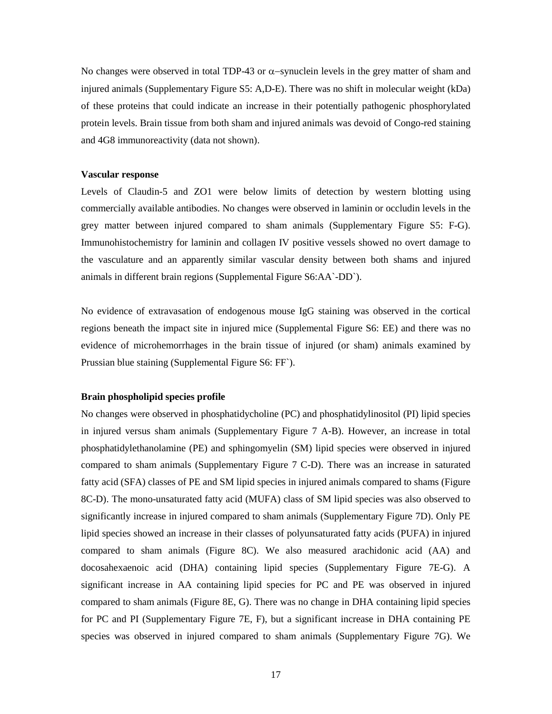No changes were observed in total TDP-43 or α-synuclein levels in the grey matter of sham and injured animals (Supplementary Figure S5: A,D-E). There was no shift in molecular weight (kDa) of these proteins that could indicate an increase in their potentially pathogenic phosphorylated protein levels. Brain tissue from both sham and injured animals was devoid of Congo-red staining and 4G8 immunoreactivity (data not shown).

#### **Vascular response**

Levels of Claudin-5 and ZO1 were below limits of detection by western blotting using commercially available antibodies. No changes were observed in laminin or occludin levels in the grey matter between injured compared to sham animals (Supplementary Figure S5: F-G). Immunohistochemistry for laminin and collagen IV positive vessels showed no overt damage to the vasculature and an apparently similar vascular density between both shams and injured animals in different brain regions (Supplemental Figure S6:AA`-DD`).

No evidence of extravasation of endogenous mouse IgG staining was observed in the cortical regions beneath the impact site in injured mice (Supplemental Figure S6: EE) and there was no evidence of microhemorrhages in the brain tissue of injured (or sham) animals examined by Prussian blue staining (Supplemental Figure S6: FF`).

### **Brain phospholipid species profile**

No changes were observed in phosphatidycholine (PC) and phosphatidylinositol (PI) lipid species in injured versus sham animals (Supplementary Figure 7 A-B). However, an increase in total phosphatidylethanolamine (PE) and sphingomyelin (SM) lipid species were observed in injured compared to sham animals (Supplementary Figure 7 C-D). There was an increase in saturated fatty acid (SFA) classes of PE and SM lipid species in injured animals compared to shams (Figure 8C-D). The mono-unsaturated fatty acid (MUFA) class of SM lipid species was also observed to significantly increase in injured compared to sham animals (Supplementary Figure 7D). Only PE lipid species showed an increase in their classes of polyunsaturated fatty acids (PUFA) in injured compared to sham animals (Figure 8C). We also measured arachidonic acid (AA) and docosahexaenoic acid (DHA) containing lipid species (Supplementary Figure 7E-G). A significant increase in AA containing lipid species for PC and PE was observed in injured compared to sham animals (Figure 8E, G). There was no change in DHA containing lipid species for PC and PI (Supplementary Figure 7E, F), but a significant increase in DHA containing PE species was observed in injured compared to sham animals (Supplementary Figure 7G). We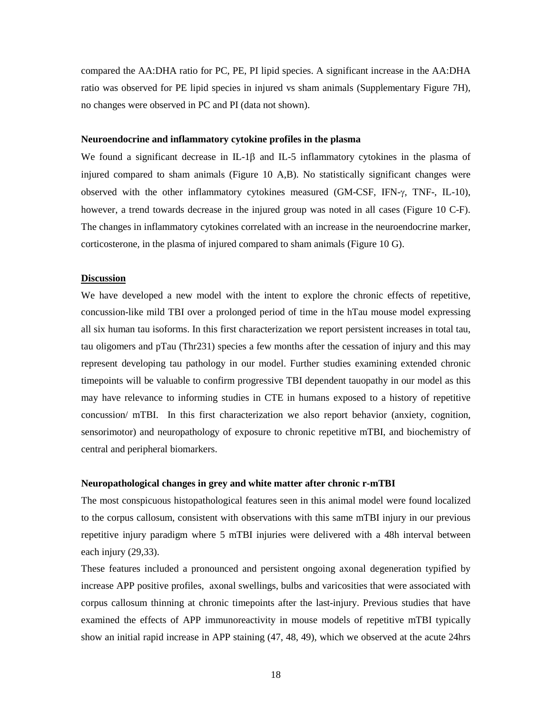compared the AA:DHA ratio for PC, PE, PI lipid species. A significant increase in the AA:DHA ratio was observed for PE lipid species in injured vs sham animals (Supplementary Figure 7H), no changes were observed in PC and PI (data not shown).

#### **Neuroendocrine and inflammatory cytokine profiles in the plasma**

We found a significant decrease in IL-1β and IL-5 inflammatory cytokines in the plasma of injured compared to sham animals (Figure 10 A,B). No statistically significant changes were observed with the other inflammatory cytokines measured (GM-CSF, IFN-γ, TNF-, IL-10), however, a trend towards decrease in the injured group was noted in all cases (Figure 10 C-F). The changes in inflammatory cytokines correlated with an increase in the neuroendocrine marker, corticosterone, in the plasma of injured compared to sham animals (Figure 10 G).

#### **Discussion**

We have developed a new model with the intent to explore the chronic effects of repetitive, concussion-like mild TBI over a prolonged period of time in the hTau mouse model expressing all six human tau isoforms. In this first characterization we report persistent increases in total tau, tau oligomers and pTau (Thr231) species a few months after the cessation of injury and this may represent developing tau pathology in our model. Further studies examining extended chronic timepoints will be valuable to confirm progressive TBI dependent tauopathy in our model as this may have relevance to informing studies in CTE in humans exposed to a history of repetitive concussion/ mTBI. In this first characterization we also report behavior (anxiety, cognition, sensorimotor) and neuropathology of exposure to chronic repetitive mTBI, and biochemistry of central and peripheral biomarkers.

#### **Neuropathological changes in grey and white matter after chronic r-mTBI**

The most conspicuous histopathological features seen in this animal model were found localized to the corpus callosum, consistent with observations with this same mTBI injury in our previous repetitive injury paradigm where 5 mTBI injuries were delivered with a 48h interval between each injury (29,33).

These features included a pronounced and persistent ongoing axonal degeneration typified by increase APP positive profiles, axonal swellings, bulbs and varicosities that were associated with corpus callosum thinning at chronic timepoints after the last-injury. Previous studies that have examined the effects of APP immunoreactivity in mouse models of repetitive mTBI typically show an initial rapid increase in APP staining (47, 48, 49), which we observed at the acute 24hrs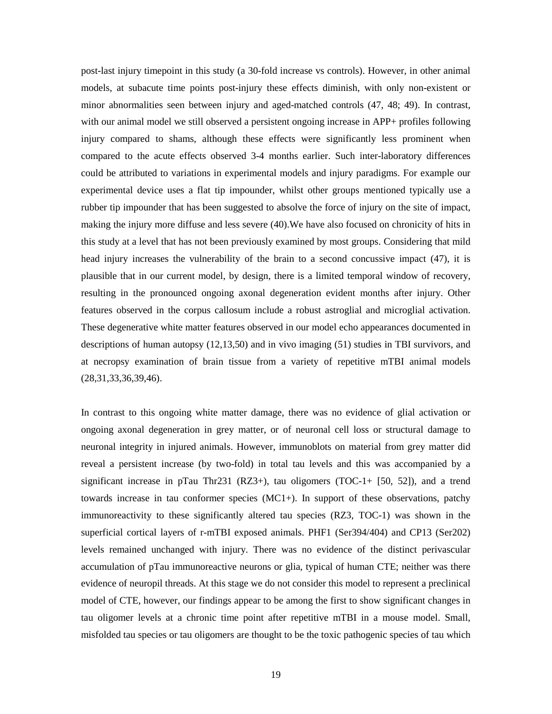post-last injury timepoint in this study (a 30-fold increase vs controls). However, in other animal models, at subacute time points post-injury these effects diminish, with only non-existent or minor abnormalities seen between injury and aged-matched controls (47, 48; 49). In contrast, with our animal model we still observed a persistent ongoing increase in APP+ profiles following injury compared to shams, although these effects were significantly less prominent when compared to the acute effects observed 3-4 months earlier. Such inter-laboratory differences could be attributed to variations in experimental models and injury paradigms. For example our experimental device uses a flat tip impounder, whilst other groups mentioned typically use a rubber tip impounder that has been suggested to absolve the force of injury on the site of impact, making the injury more diffuse and less severe (40).We have also focused on chronicity of hits in this study at a level that has not been previously examined by most groups. Considering that mild head injury increases the vulnerability of the brain to a second concussive impact (47), it is plausible that in our current model, by design, there is a limited temporal window of recovery, resulting in the pronounced ongoing axonal degeneration evident months after injury. Other features observed in the corpus callosum include a robust astroglial and microglial activation. These degenerative white matter features observed in our model echo appearances documented in descriptions of human autopsy (12,13,50) and in vivo imaging (51) studies in TBI survivors, and at necropsy examination of brain tissue from a variety of repetitive mTBI animal models (28,31,33,36,39,46).

In contrast to this ongoing white matter damage, there was no evidence of glial activation or ongoing axonal degeneration in grey matter, or of neuronal cell loss or structural damage to neuronal integrity in injured animals. However, immunoblots on material from grey matter did reveal a persistent increase (by two-fold) in total tau levels and this was accompanied by a significant increase in pTau Thr231 (RZ3+), tau oligomers (TOC-1+ [50, 52]), and a trend towards increase in tau conformer species (MC1+). In support of these observations, patchy immunoreactivity to these significantly altered tau species (RZ3, TOC-1) was shown in the superficial cortical layers of r-mTBI exposed animals. PHF1 (Ser394/404) and CP13 (Ser202) levels remained unchanged with injury. There was no evidence of the distinct perivascular accumulation of pTau immunoreactive neurons or glia, typical of human CTE; neither was there evidence of neuropil threads. At this stage we do not consider this model to represent a preclinical model of CTE, however, our findings appear to be among the first to show significant changes in tau oligomer levels at a chronic time point after repetitive mTBI in a mouse model. Small, misfolded tau species or tau oligomers are thought to be the toxic pathogenic species of tau which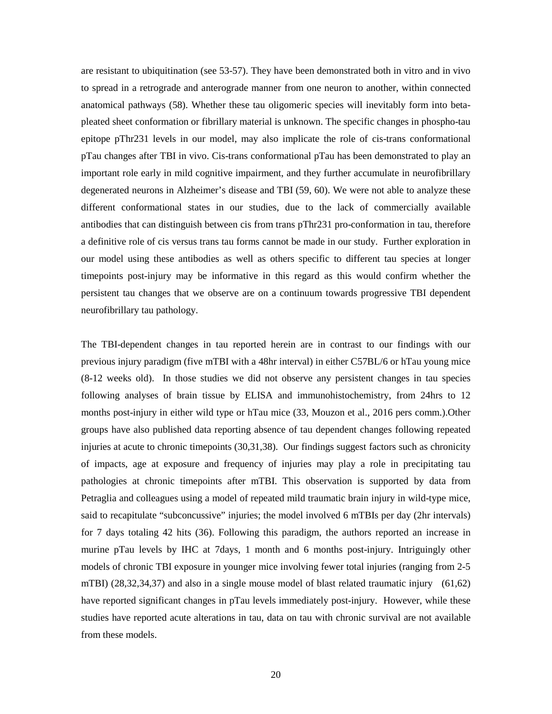are resistant to ubiquitination (see 53-57). They have been demonstrated both in vitro and in vivo to spread in a retrograde and anterograde manner from one neuron to another, within connected anatomical pathways (58). Whether these tau oligomeric species will inevitably form into betapleated sheet conformation or fibrillary material is unknown. The specific changes in phospho-tau epitope pThr231 levels in our model, may also implicate the role of cis-trans conformational pTau changes after TBI in vivo. Cis-trans conformational pTau has been demonstrated to play an important role early in mild cognitive impairment, and they further accumulate in neurofibrillary degenerated neurons in Alzheimer's disease and TBI (59, 60). We were not able to analyze these different conformational states in our studies, due to the lack of commercially available antibodies that can distinguish between cis from trans pThr231 pro-conformation in tau, therefore a definitive role of cis versus trans tau forms cannot be made in our study. Further exploration in our model using these antibodies as well as others specific to different tau species at longer timepoints post-injury may be informative in this regard as this would confirm whether the persistent tau changes that we observe are on a continuum towards progressive TBI dependent neurofibrillary tau pathology.

The TBI-dependent changes in tau reported herein are in contrast to our findings with our previous injury paradigm (five mTBI with a 48hr interval) in either C57BL/6 or hTau young mice (8-12 weeks old). In those studies we did not observe any persistent changes in tau species following analyses of brain tissue by ELISA and immunohistochemistry, from 24hrs to 12 months post-injury in either wild type or hTau mice (33, Mouzon et al., 2016 pers comm.).Other groups have also published data reporting absence of tau dependent changes following repeated injuries at acute to chronic timepoints (30,31,38). Our findings suggest factors such as chronicity of impacts, age at exposure and frequency of injuries may play a role in precipitating tau pathologies at chronic timepoints after mTBI. This observation is supported by data from Petraglia and colleagues using a model of repeated mild traumatic brain injury in wild-type mice, said to recapitulate "subconcussive" injuries; the model involved 6 mTBIs per day (2hr intervals) for 7 days totaling 42 hits (36). Following this paradigm, the authors reported an increase in murine pTau levels by IHC at 7days, 1 month and 6 months post-injury. Intriguingly other models of chronic TBI exposure in younger mice involving fewer total injuries (ranging from 2-5 mTBI) (28,32,34,37) and also in a single mouse model of blast related traumatic injury (61,62) have reported significant changes in pTau levels immediately post-injury. However, while these studies have reported acute alterations in tau, data on tau with chronic survival are not available from these models.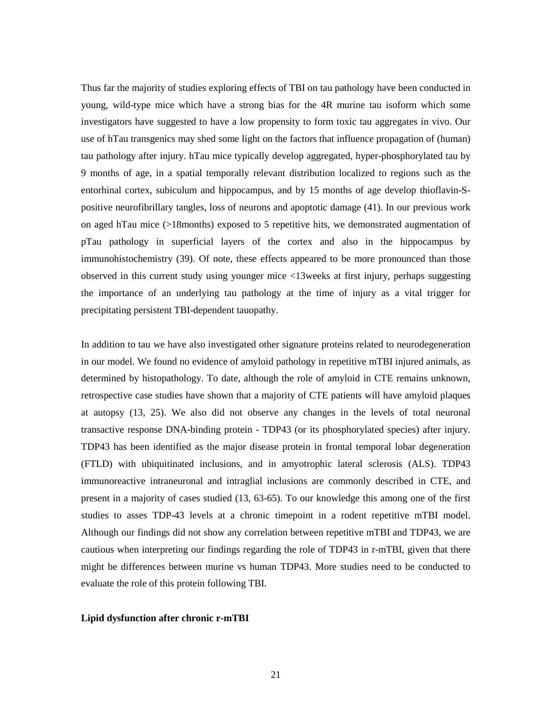Thus far the majority of studies exploring effects of TBI on tau pathology have been conducted in young, wild-type mice which have a strong bias for the 4R murine tau isoform which some investigators have suggested to have a low propensity to form toxic tau aggregates in vivo. Our use of hTau transgenics may shed some light on the factors that influence propagation of (human) tau pathology after injury. hTau mice typically develop aggregated, hyper-phosphorylated tau by 9 months of age, in a spatial temporally relevant distribution localized to regions such as the entorhinal cortex, subiculum and hippocampus, and by 15 months of age develop thioflavin-Spositive neurofibrillary tangles, loss of neurons and apoptotic damage (41). In our previous work on aged hTau mice (>18months) exposed to 5 repetitive hits, we demonstrated augmentation of pTau pathology in superficial layers of the cortex and also in the hippocampus by immunohistochemistry (39). Of note, these effects appeared to be more pronounced than those observed in this current study using younger mice <13weeks at first injury, perhaps suggesting the importance of an underlying tau pathology at the time of injury as a vital trigger for precipitating persistent TBI-dependent tauopathy.

In addition to tau we have also investigated other signature proteins related to neurodegeneration in our model. We found no evidence of amyloid pathology in repetitive mTBI injured animals, as determined by histopathology. To date, although the role of amyloid in CTE remains unknown, retrospective case studies have shown that a majority of CTE patients will have amyloid plaques at autopsy (13, 25). We also did not observe any changes in the levels of total neuronal transactive response DNA-binding protein - TDP43 (or its phosphorylated species) after injury. TDP43 has been identified as the major disease protein in frontal temporal lobar degeneration (FTLD) with ubiquitinated inclusions, and in amyotrophic lateral sclerosis (ALS). TDP43 immunoreactive intraneuronal and intraglial inclusions are commonly described in CTE, and present in a majority of cases studied (13, 63-65). To our knowledge this among one of the first studies to asses TDP-43 levels at a chronic timepoint in a rodent repetitive mTBI model. Although our findings did not show any correlation between repetitive mTBI and TDP43, we are cautious when interpreting our findings regarding the role of TDP43 in r-mTBI, given that there might be differences between murine vs human TDP43. More studies need to be conducted to evaluate the role of this protein following TBI.

#### **Lipid dysfunction after chronic r-mTBI**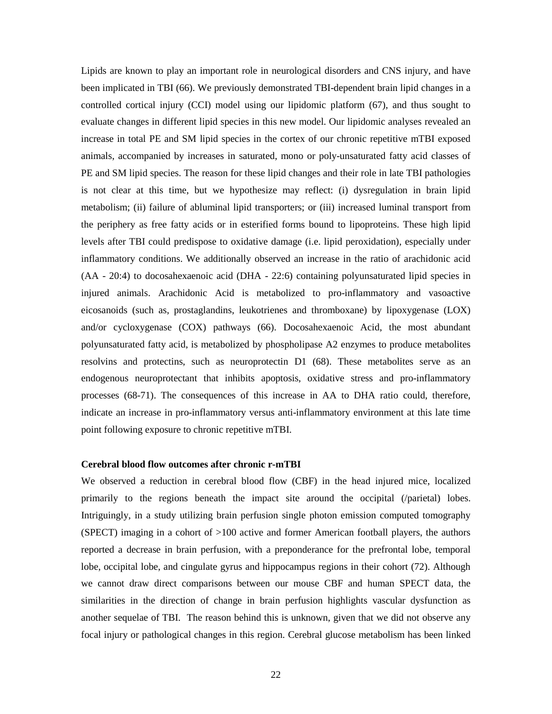Lipids are known to play an important role in neurological disorders and CNS injury, and have been implicated in TBI (66). We previously demonstrated TBI-dependent brain lipid changes in a controlled cortical injury (CCI) model using our lipidomic platform (67), and thus sought to evaluate changes in different lipid species in this new model. Our lipidomic analyses revealed an increase in total PE and SM lipid species in the cortex of our chronic repetitive mTBI exposed animals, accompanied by increases in saturated, mono or poly-unsaturated fatty acid classes of PE and SM lipid species. The reason for these lipid changes and their role in late TBI pathologies is not clear at this time, but we hypothesize may reflect: (i) dysregulation in brain lipid metabolism; (ii) failure of abluminal lipid transporters; or (iii) increased luminal transport from the periphery as free fatty acids or in esterified forms bound to lipoproteins. These high lipid levels after TBI could predispose to oxidative damage (i.e. lipid peroxidation), especially under inflammatory conditions. We additionally observed an increase in the ratio of arachidonic acid (AA - 20:4) to docosahexaenoic acid (DHA - 22:6) containing polyunsaturated lipid species in injured animals. Arachidonic Acid is metabolized to pro-inflammatory and vasoactive eicosanoids (such as, prostaglandins, leukotrienes and thromboxane) by lipoxygenase (LOX) and/or cycloxygenase (COX) pathways (66). Docosahexaenoic Acid, the most abundant polyunsaturated fatty acid, is metabolized by phospholipase A2 enzymes to produce metabolites resolvins and protectins, such as neuroprotectin D1 (68). These metabolites serve as an endogenous neuroprotectant that inhibits apoptosis, oxidative stress and pro-inflammatory processes (68-71). The consequences of this increase in AA to DHA ratio could, therefore, indicate an increase in pro-inflammatory versus anti-inflammatory environment at this late time point following exposure to chronic repetitive mTBI.

### **Cerebral blood flow outcomes after chronic r-mTBI**

We observed a reduction in cerebral blood flow (CBF) in the head injured mice, localized primarily to the regions beneath the impact site around the occipital (/parietal) lobes. Intriguingly, in a study utilizing brain perfusion single photon emission computed tomography (SPECT) imaging in a cohort of >100 active and former American football players, the authors reported a decrease in brain perfusion, with a preponderance for the prefrontal lobe, temporal lobe, occipital lobe, and cingulate gyrus and hippocampus regions in their cohort (72). Although we cannot draw direct comparisons between our mouse CBF and human SPECT data, the similarities in the direction of change in brain perfusion highlights vascular dysfunction as another sequelae of TBI. The reason behind this is unknown, given that we did not observe any focal injury or pathological changes in this region. Cerebral glucose metabolism has been linked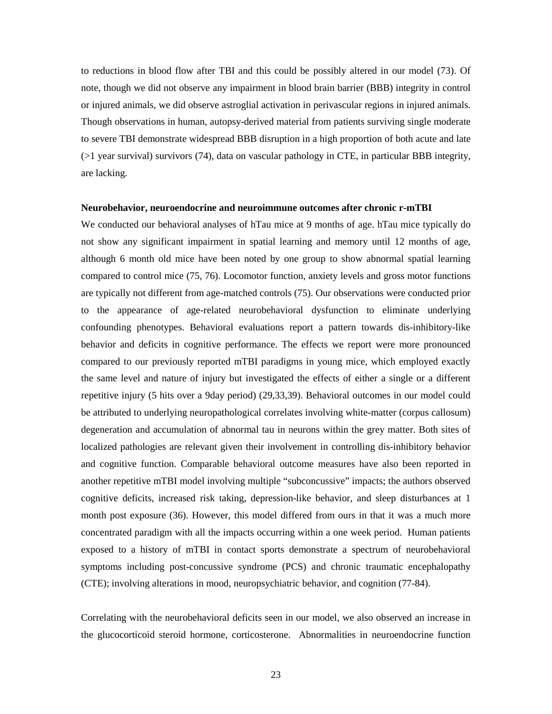to reductions in blood flow after TBI and this could be possibly altered in our model (73). Of note, though we did not observe any impairment in blood brain barrier (BBB) integrity in control or injured animals, we did observe astroglial activation in perivascular regions in injured animals. Though observations in human, autopsy-derived material from patients surviving single moderate to severe TBI demonstrate widespread BBB disruption in a high proportion of both acute and late (>1 year survival) survivors (74), data on vascular pathology in CTE, in particular BBB integrity, are lacking.

### **Neurobehavior, neuroendocrine and neuroimmune outcomes after chronic r-mTBI**

We conducted our behavioral analyses of hTau mice at 9 months of age. hTau mice typically do not show any significant impairment in spatial learning and memory until 12 months of age, although 6 month old mice have been noted by one group to show abnormal spatial learning compared to control mice (75, 76). Locomotor function, anxiety levels and gross motor functions are typically not different from age-matched controls (75). Our observations were conducted prior to the appearance of age-related neurobehavioral dysfunction to eliminate underlying confounding phenotypes. Behavioral evaluations report a pattern towards dis-inhibitory-like behavior and deficits in cognitive performance. The effects we report were more pronounced compared to our previously reported mTBI paradigms in young mice, which employed exactly the same level and nature of injury but investigated the effects of either a single or a different repetitive injury (5 hits over a 9day period) (29,33,39). Behavioral outcomes in our model could be attributed to underlying neuropathological correlates involving white-matter (corpus callosum) degeneration and accumulation of abnormal tau in neurons within the grey matter. Both sites of localized pathologies are relevant given their involvement in controlling dis-inhibitory behavior and cognitive function. Comparable behavioral outcome measures have also been reported in another repetitive mTBI model involving multiple "subconcussive" impacts; the authors observed cognitive deficits, increased risk taking, depression-like behavior, and sleep disturbances at 1 month post exposure (36). However, this model differed from ours in that it was a much more concentrated paradigm with all the impacts occurring within a one week period. Human patients exposed to a history of mTBI in contact sports demonstrate a spectrum of neurobehavioral symptoms including post-concussive syndrome (PCS) and chronic traumatic encephalopathy (CTE); involving alterations in mood, neuropsychiatric behavior, and cognition (77-84).

Correlating with the neurobehavioral deficits seen in our model, we also observed an increase in the glucocorticoid steroid hormone, corticosterone. Abnormalities in neuroendocrine function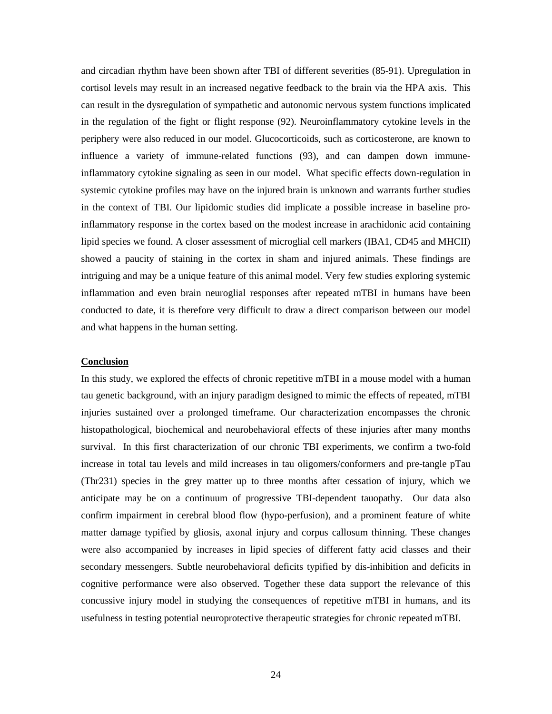and circadian rhythm have been shown after TBI of different severities (85-91). Upregulation in cortisol levels may result in an increased negative feedback to the brain via the HPA axis. This can result in the dysregulation of sympathetic and autonomic nervous system functions implicated in the regulation of the fight or flight response (92). Neuroinflammatory cytokine levels in the periphery were also reduced in our model. Glucocorticoids, such as corticosterone, are known to influence a variety of immune-related functions (93), and can dampen down immuneinflammatory cytokine signaling as seen in our model. What specific effects down-regulation in systemic cytokine profiles may have on the injured brain is unknown and warrants further studies in the context of TBI. Our lipidomic studies did implicate a possible increase in baseline proinflammatory response in the cortex based on the modest increase in arachidonic acid containing lipid species we found. A closer assessment of microglial cell markers (IBA1, CD45 and MHCII) showed a paucity of staining in the cortex in sham and injured animals. These findings are intriguing and may be a unique feature of this animal model. Very few studies exploring systemic inflammation and even brain neuroglial responses after repeated mTBI in humans have been conducted to date, it is therefore very difficult to draw a direct comparison between our model and what happens in the human setting.

## **Conclusion**

In this study, we explored the effects of chronic repetitive mTBI in a mouse model with a human tau genetic background, with an injury paradigm designed to mimic the effects of repeated, mTBI injuries sustained over a prolonged timeframe. Our characterization encompasses the chronic histopathological, biochemical and neurobehavioral effects of these injuries after many months survival. In this first characterization of our chronic TBI experiments, we confirm a two-fold increase in total tau levels and mild increases in tau oligomers/conformers and pre-tangle pTau (Thr231) species in the grey matter up to three months after cessation of injury, which we anticipate may be on a continuum of progressive TBI-dependent tauopathy. Our data also confirm impairment in cerebral blood flow (hypo-perfusion), and a prominent feature of white matter damage typified by gliosis, axonal injury and corpus callosum thinning. These changes were also accompanied by increases in lipid species of different fatty acid classes and their secondary messengers. Subtle neurobehavioral deficits typified by dis-inhibition and deficits in cognitive performance were also observed. Together these data support the relevance of this concussive injury model in studying the consequences of repetitive mTBI in humans, and its usefulness in testing potential neuroprotective therapeutic strategies for chronic repeated mTBI.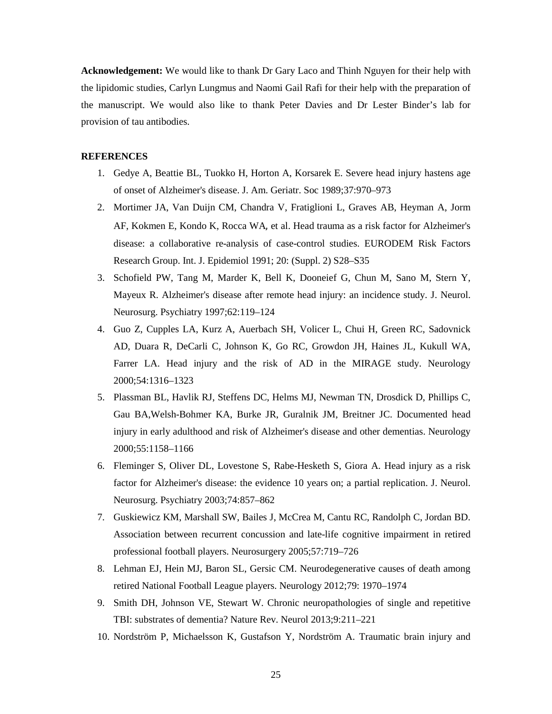**Acknowledgement:** We would like to thank Dr Gary Laco and Thinh Nguyen for their help with the lipidomic studies, Carlyn Lungmus and Naomi Gail Rafi for their help with the preparation of the manuscript. We would also like to thank Peter Davies and Dr Lester Binder's lab for provision of tau antibodies.

### **REFERENCES**

- 1. Gedye A, Beattie BL, Tuokko H, Horton A, Korsarek E. Severe head injury hastens age of onset of Alzheimer's disease. J. Am. Geriatr. Soc 1989;37:970–973
- 2. [Mortimer JA,](http://www.ncbi.nlm.nih.gov/pubmed/?term=Mortimer%20JA%5BAuthor%5D&cauthor=true&cauthor_uid=1833351) [Van Duijn CM,](http://www.ncbi.nlm.nih.gov/pubmed/?term=van%20Duijn%20CM%5BAuthor%5D&cauthor=true&cauthor_uid=1833351) [Chandra V,](http://www.ncbi.nlm.nih.gov/pubmed/?term=Chandra%20V%5BAuthor%5D&cauthor=true&cauthor_uid=1833351) [Fratiglioni L,](http://www.ncbi.nlm.nih.gov/pubmed/?term=Fratiglioni%20L%5BAuthor%5D&cauthor=true&cauthor_uid=1833351) [Graves AB,](http://www.ncbi.nlm.nih.gov/pubmed/?term=Graves%20AB%5BAuthor%5D&cauthor=true&cauthor_uid=1833351) [Heyman A,](http://www.ncbi.nlm.nih.gov/pubmed/?term=Heyman%20A%5BAuthor%5D&cauthor=true&cauthor_uid=1833351) [Jorm](http://www.ncbi.nlm.nih.gov/pubmed/?term=Jorm%20AF%5BAuthor%5D&cauthor=true&cauthor_uid=1833351)  [AF,](http://www.ncbi.nlm.nih.gov/pubmed/?term=Jorm%20AF%5BAuthor%5D&cauthor=true&cauthor_uid=1833351) [Kokmen E,](http://www.ncbi.nlm.nih.gov/pubmed/?term=Kokmen%20E%5BAuthor%5D&cauthor=true&cauthor_uid=1833351) [Kondo K,](http://www.ncbi.nlm.nih.gov/pubmed/?term=Kondo%20K%5BAuthor%5D&cauthor=true&cauthor_uid=1833351) [Rocca WA](http://www.ncbi.nlm.nih.gov/pubmed/?term=Rocca%20WA%5BAuthor%5D&cauthor=true&cauthor_uid=1833351), et al. Head trauma as a risk factor for Alzheimer's disease: a collaborative re-analysis of case-control studies. EURODEM Risk Factors Research Group. Int. J. Epidemiol 1991; 20: (Suppl. 2) S28–S35
- 3. Schofield PW, Tang M, Marder K, Bell K, Dooneief G, Chun M, Sano M, Stern Y, Mayeux R. Alzheimer's disease after remote head injury: an incidence study. J. Neurol. Neurosurg. Psychiatry 1997;62:119–124
- 4. Guo Z, Cupples LA, Kurz A, Auerbach SH, Volicer L, Chui H, Green RC, Sadovnick AD, Duara R, DeCarli C, Johnson K, Go RC, Growdon JH, Haines JL, Kukull WA, Farrer LA. Head injury and the risk of AD in the MIRAGE study. Neurology 2000;54:1316–1323
- 5. Plassman BL, Havlik RJ, Steffens DC, Helms MJ, Newman TN, Drosdick D, Phillips C, Gau BA,Welsh-Bohmer KA, Burke JR, Guralnik JM, Breitner JC. Documented head injury in early adulthood and risk of Alzheimer's disease and other dementias. Neurology 2000;55:1158–1166
- 6. Fleminger S, Oliver DL, Lovestone S, Rabe-Hesketh S, Giora A. Head injury as a risk factor for Alzheimer's disease: the evidence 10 years on; a partial replication. J. Neurol. Neurosurg. Psychiatry 2003;74:857–862
- 7. Guskiewicz KM, Marshall SW, Bailes J, McCrea M, Cantu RC, Randolph C, Jordan BD. Association between recurrent concussion and late-life cognitive impairment in retired professional football players. Neurosurgery 2005;57:719–726
- 8. Lehman EJ, Hein MJ, Baron SL, Gersic CM. Neurodegenerative causes of death among retired National Football League players. Neurology 2012;79: 1970–1974
- 9. Smith DH, Johnson VE, Stewart W. Chronic neuropathologies of single and repetitive TBI: substrates of dementia? Nature Rev. Neurol 2013;9:211–221
- 10. Nordström P, Michaelsson K, Gustafson Y, Nordström A. Traumatic brain injury and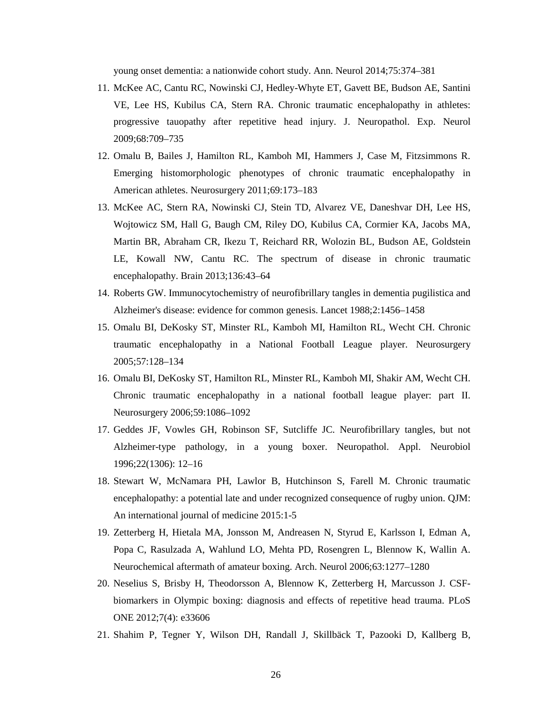young onset dementia: a nationwide cohort study. Ann. Neurol 2014;75:374–381

- 11. McKee AC, Cantu RC, Nowinski CJ, Hedley-Whyte ET, Gavett BE, Budson AE, Santini VE, Lee HS, Kubilus CA, Stern RA. Chronic traumatic encephalopathy in athletes: progressive tauopathy after repetitive head injury. J. Neuropathol. Exp. Neurol 2009;68:709–735
- 12. Omalu B, Bailes J, Hamilton RL, Kamboh MI, Hammers J, Case M, Fitzsimmons R. Emerging histomorphologic phenotypes of chronic traumatic encephalopathy in American athletes. Neurosurgery 2011;69:173–183
- 13. McKee AC, Stern RA, Nowinski CJ, Stein TD, Alvarez VE, Daneshvar DH, Lee HS, Wojtowicz SM, Hall G, Baugh CM, Riley DO, Kubilus CA, Cormier KA, Jacobs MA, Martin BR, Abraham CR, Ikezu T, Reichard RR, Wolozin BL, Budson AE, Goldstein LE, Kowall NW, Cantu RC. The spectrum of disease in chronic traumatic encephalopathy. Brain 2013;136:43–64
- 14. Roberts GW. Immunocytochemistry of neurofibrillary tangles in dementia pugilistica and Alzheimer's disease: evidence for common genesis. Lancet 1988;2:1456–1458
- 15. Omalu BI, DeKosky ST, Minster RL, Kamboh MI, Hamilton RL, Wecht CH. Chronic traumatic encephalopathy in a National Football League player. Neurosurgery 2005;57:128–134
- 16. Omalu BI, DeKosky ST, Hamilton RL, Minster RL, Kamboh MI, Shakir AM, Wecht CH. Chronic traumatic encephalopathy in a national football league player: part II. Neurosurgery 2006;59:1086–1092
- 17. Geddes JF, Vowles GH, Robinson SF, Sutcliffe JC. Neurofibrillary tangles, but not Alzheimer-type pathology, in a young boxer. Neuropathol. Appl. Neurobiol 1996;22(1306): 12–16
- 18. Stewart W, McNamara PH, Lawlor B, Hutchinson S, Farell M. Chronic traumatic encephalopathy: a potential late and under recognized consequence of rugby union. QJM: An international journal of medicine 2015:1-5
- 19. [Zetterberg H,](http://www.ncbi.nlm.nih.gov/pubmed/?term=Zetterberg%20H%5BAuthor%5D&cauthor=true&cauthor_uid=16966505) [Hietala MA,](http://www.ncbi.nlm.nih.gov/pubmed/?term=Hietala%20MA%5BAuthor%5D&cauthor=true&cauthor_uid=16966505) [Jonsson M,](http://www.ncbi.nlm.nih.gov/pubmed/?term=Jonsson%20M%5BAuthor%5D&cauthor=true&cauthor_uid=16966505) [Andreasen N,](http://www.ncbi.nlm.nih.gov/pubmed/?term=Andreasen%20N%5BAuthor%5D&cauthor=true&cauthor_uid=16966505) [Styrud E,](http://www.ncbi.nlm.nih.gov/pubmed/?term=Styrud%20E%5BAuthor%5D&cauthor=true&cauthor_uid=16966505) [Karlsson I,](http://www.ncbi.nlm.nih.gov/pubmed/?term=Karlsson%20I%5BAuthor%5D&cauthor=true&cauthor_uid=16966505) [Edman A,](http://www.ncbi.nlm.nih.gov/pubmed/?term=Edman%20A%5BAuthor%5D&cauthor=true&cauthor_uid=16966505)  [Popa C,](http://www.ncbi.nlm.nih.gov/pubmed/?term=Popa%20C%5BAuthor%5D&cauthor=true&cauthor_uid=16966505) [Rasulzada A,](http://www.ncbi.nlm.nih.gov/pubmed/?term=Rasulzada%20A%5BAuthor%5D&cauthor=true&cauthor_uid=16966505) [Wahlund LO,](http://www.ncbi.nlm.nih.gov/pubmed/?term=Wahlund%20LO%5BAuthor%5D&cauthor=true&cauthor_uid=16966505) [Mehta PD,](http://www.ncbi.nlm.nih.gov/pubmed/?term=Mehta%20PD%5BAuthor%5D&cauthor=true&cauthor_uid=16966505) [Rosengren L,](http://www.ncbi.nlm.nih.gov/pubmed/?term=Rosengren%20L%5BAuthor%5D&cauthor=true&cauthor_uid=16966505) [Blennow K,](http://www.ncbi.nlm.nih.gov/pubmed/?term=Blennow%20K%5BAuthor%5D&cauthor=true&cauthor_uid=16966505) [Wallin A.](http://www.ncbi.nlm.nih.gov/pubmed/?term=Wallin%20A%5BAuthor%5D&cauthor=true&cauthor_uid=16966505)  Neurochemical aftermath of amateur boxing. Arch. Neurol 2006;63:1277–1280
- 20. [Neselius S,](http://www.ncbi.nlm.nih.gov/pubmed/?term=Neselius%20S%5BAuthor%5D&cauthor=true&cauthor_uid=22496755) [Brisby H,](http://www.ncbi.nlm.nih.gov/pubmed/?term=Brisby%20H%5BAuthor%5D&cauthor=true&cauthor_uid=22496755) [Theodorsson A,](http://www.ncbi.nlm.nih.gov/pubmed/?term=Theodorsson%20A%5BAuthor%5D&cauthor=true&cauthor_uid=22496755) [Blennow K,](http://www.ncbi.nlm.nih.gov/pubmed/?term=Blennow%20K%5BAuthor%5D&cauthor=true&cauthor_uid=22496755) [Zetterberg H,](http://www.ncbi.nlm.nih.gov/pubmed/?term=Zetterberg%20H%5BAuthor%5D&cauthor=true&cauthor_uid=22496755) [Marcusson J.](http://www.ncbi.nlm.nih.gov/pubmed/?term=Marcusson%20J%5BAuthor%5D&cauthor=true&cauthor_uid=22496755) CSFbiomarkers in Olympic boxing: diagnosis and effects of repetitive head trauma. PLoS ONE 2012;7(4): e33606
- 21. Shahim P, Tegner Y, Wilson DH, Randall J, Skillbäck T, Pazooki D, Kallberg B,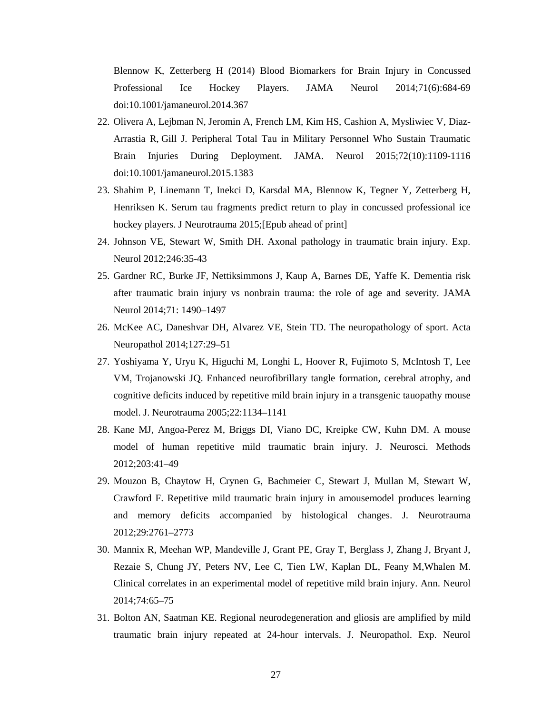Blennow K, Zetterberg H (2014) Blood Biomarkers for Brain Injury in Concussed Professional Ice Hockey Players. JAMA Neurol 2014;71(6):684-69 doi:10.1001/jamaneurol.2014.367

- 22. Olivera A, Lejbman N, Jeromin A, French LM, Kim HS, Cashion A, Mysliwiec V, Diaz-Arrastia R, Gill J. Peripheral Total Tau in Military Personnel Who Sustain Traumatic Brain Injuries During Deployment. JAMA. Neurol 2015;72(10):1109-1116 doi:10.1001/jamaneurol.2015.1383
- 23. Shahim P, Linemann T, Inekci D, Karsdal MA, Blennow K, Tegner Y, Zetterberg H, Henriksen K. Serum tau fragments predict return to play in concussed professional ice hockey players. J Neurotrauma 2015;[Epub ahead of print]
- 24. Johnson VE, Stewart W, Smith DH. Axonal pathology in traumatic brain injury. Exp. Neurol 2012;246:35-43
- 25. Gardner RC, Burke JF, Nettiksimmons J, Kaup A, Barnes DE, Yaffe K. Dementia risk after traumatic brain injury vs nonbrain trauma: the role of age and severity. JAMA Neurol 2014;71: 1490–1497
- 26. McKee AC, Daneshvar DH, Alvarez VE, Stein TD. The neuropathology of sport. Acta Neuropathol 2014;127:29–51
- 27. Yoshiyama Y, Uryu K, Higuchi M, Longhi L, Hoover R, Fujimoto S, McIntosh T, Lee VM, Trojanowski JQ. Enhanced neurofibrillary tangle formation, cerebral atrophy, and cognitive deficits induced by repetitive mild brain injury in a transgenic tauopathy mouse model. J. Neurotrauma 2005;22:1134–1141
- 28. Kane MJ, Angoa-Perez M, Briggs DI, Viano DC, Kreipke CW, Kuhn DM. A mouse model of human repetitive mild traumatic brain injury. J. Neurosci. Methods 2012;203:41–49
- 29. Mouzon B, Chaytow H, Crynen G, Bachmeier C, Stewart J, Mullan M, Stewart W, Crawford F. Repetitive mild traumatic brain injury in amousemodel produces learning and memory deficits accompanied by histological changes. J. Neurotrauma 2012;29:2761–2773
- 30. Mannix R, Meehan WP, Mandeville J, Grant PE, Gray T, Berglass J, Zhang J, Bryant J, Rezaie S, Chung JY, Peters NV, Lee C, Tien LW, Kaplan DL, Feany M,Whalen M. Clinical correlates in an experimental model of repetitive mild brain injury. Ann. Neurol 2014;74:65–75
- 31. Bolton AN, Saatman KE. Regional neurodegeneration and gliosis are amplified by mild traumatic brain injury repeated at 24-hour intervals. J. Neuropathol. Exp. Neurol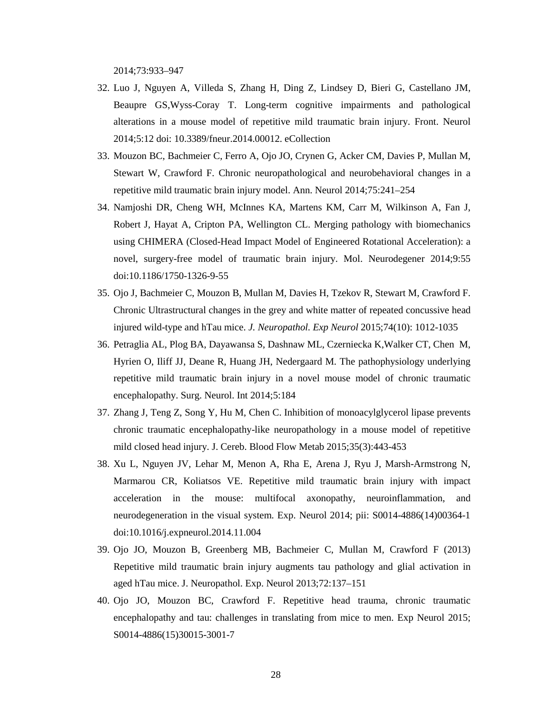2014;73:933–947

- 32. Luo J, Nguyen A, Villeda S, Zhang H, Ding Z, Lindsey D, Bieri G, Castellano JM, Beaupre GS,Wyss-Coray T. Long-term cognitive impairments and pathological alterations in a mouse model of repetitive mild traumatic brain injury. Front. Neurol 2014;5:12 doi: 10.3389/fneur.2014.00012. eCollection
- 33. Mouzon BC, Bachmeier C, Ferro A, Ojo JO, Crynen G, Acker CM, Davies P, Mullan M, Stewart W, Crawford F. Chronic neuropathological and neurobehavioral changes in a repetitive mild traumatic brain injury model. Ann. Neurol 2014;75:241–254
- 34. Namjoshi DR, Cheng WH, McInnes KA, Martens KM, Carr M, Wilkinson A, Fan J, Robert J, Hayat A, Cripton PA, Wellington CL. Merging pathology with biomechanics using CHIMERA (Closed-Head Impact Model of Engineered Rotational Acceleration): a novel, surgery-free model of traumatic brain injury. Mol. Neurodegener 2014;9:55 doi:10.1186/1750-1326-9-55
- 35. Ojo J, Bachmeier C, Mouzon B, Mullan M, Davies H, Tzekov R, Stewart M, Crawford F. Chronic Ultrastructural changes in the grey and white matter of repeated concussive head injured wild-type and hTau mice. *J. Neuropathol. Exp Neurol* 2015;74(10): 1012-1035
- 36. Petraglia AL, Plog BA, Dayawansa S, Dashnaw ML, Czerniecka K,Walker CT, Chen M, Hyrien O, Iliff JJ, Deane R, Huang JH, Nedergaard M. The pathophysiology underlying repetitive mild traumatic brain injury in a novel mouse model of chronic traumatic encephalopathy. Surg. Neurol. Int 2014;5:184
- 37. Zhang J, Teng Z, Song Y, Hu M, Chen C. Inhibition of monoacylglycerol lipase prevents chronic traumatic encephalopathy-like neuropathology in a mouse model of repetitive mild closed head injury. J. Cereb. Blood Flow Metab 2015;35(3):443-453
- 38. Xu L, Nguyen JV, Lehar M, Menon A, Rha E, Arena J, Ryu J, Marsh-Armstrong N, Marmarou CR, Koliatsos VE. Repetitive mild traumatic brain injury with impact acceleration in the mouse: multifocal axonopathy, neuroinflammation, and neurodegeneration in the visual system. Exp. Neurol 2014; pii: S0014-4886(14)00364-1 doi:10.1016/j.expneurol.2014.11.004
- 39. Ojo JO, Mouzon B, Greenberg MB, Bachmeier C, Mullan M, Crawford F (2013) Repetitive mild traumatic brain injury augments tau pathology and glial activation in aged hTau mice. J. Neuropathol. Exp. Neurol 2013;72:137–151
- 40. Ojo JO, Mouzon BC, Crawford F. Repetitive head trauma, chronic traumatic encephalopathy and tau: challenges in translating from mice to men. Exp Neurol 2015; S0014-4886(15)30015-3001-7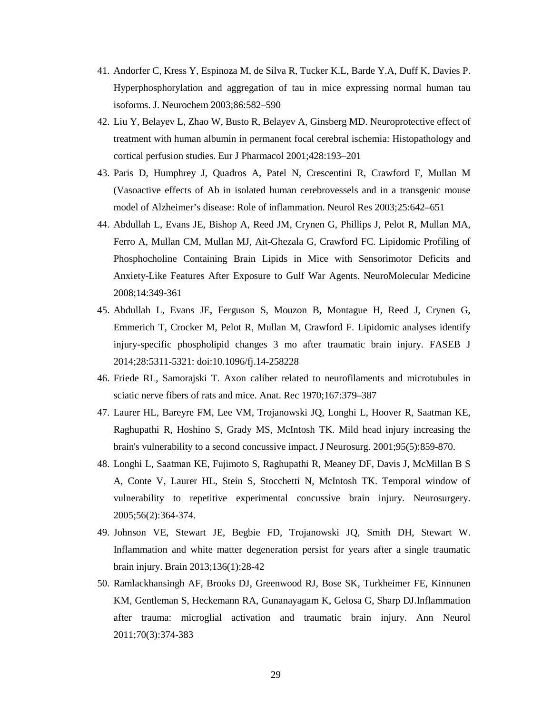- 41. Andorfer C, Kress Y, Espinoza M, de Silva R, Tucker K.L, Barde Y.A, Duff K, Davies P. Hyperphosphorylation and aggregation of tau in mice expressing normal human tau isoforms. J. Neurochem 2003;86:582–590
- 42. Liu Y, Belayev L, Zhao W, Busto R, Belayev A, Ginsberg MD. Neuroprotective effect of treatment with human albumin in permanent focal cerebral ischemia: Histopathology and cortical perfusion studies. Eur J Pharmacol 2001;428:193–201
- 43. Paris D, Humphrey J, Quadros A, Patel N, Crescentini R, Crawford F, Mullan M (Vasoactive effects of Ab in isolated human cerebrovessels and in a transgenic mouse model of Alzheimer's disease: Role of inflammation. Neurol Res 2003;25:642–651
- 44. [Abdullah](http://link.springer.com/search?facet-creator=%22Laila+Abdullah%22) L, [Evans](http://link.springer.com/search?facet-creator=%22James+E.+Evans%22) JE, [Bishop](http://link.springer.com/search?facet-creator=%22Alex+Bishop%22) A, [Reed](http://link.springer.com/search?facet-creator=%22Jon+M.+Reed%22) JM, [Crynen](http://link.springer.com/search?facet-creator=%22Gogce+Crynen%22) G, [Phillips](http://link.springer.com/search?facet-creator=%22John+Phillips%22) J, [Pelot](http://link.springer.com/search?facet-creator=%22Robert+Pelot%22) R, [Mullan](http://link.springer.com/search?facet-creator=%22Myles+A.+Mullan%22) MA, [Ferro](http://link.springer.com/search?facet-creator=%22Austin+Ferro%22) A, [Mullan](http://link.springer.com/search?facet-creator=%22Christopher+M.+Mullan%22) CM, [Mullan](http://link.springer.com/search?facet-creator=%22Michael+J.+Mullan%22) MJ, [Ait-Ghezala](http://link.springer.com/search?facet-creator=%22Ghania+Ait-Ghezala%22) G, [Crawford](http://link.springer.com/search?facet-creator=%22Fiona+C.+Crawford%22) FC. Lipidomic Profiling of Phosphocholine Containing Brain Lipids in Mice with Sensorimotor Deficits and Anxiety-Like Features After Exposure to Gulf War Agents. NeuroMolecular Medicine 2008;14:349-361
- 45. Abdullah L, Evans JE, Ferguson S, Mouzon B, Montague H, Reed J, Crynen G, Emmerich T, Crocker M, Pelot R, Mullan M, Crawford F. Lipidomic analyses identify injury-specific phospholipid changes 3 mo after traumatic brain injury. FASEB J 2014;28:5311-5321: doi:10.1096/fj.14-258228
- 46. Friede RL, Samorajski T. Axon caliber related to neurofilaments and microtubules in sciatic nerve fibers of rats and mice. Anat. Rec 1970;167:379–387
- 47. Laurer HL, Bareyre FM, Lee VM, Trojanowski JQ, Longhi L, Hoover R, Saatman KE, Raghupathi R, Hoshino S, Grady MS, McIntosh TK. Mild head injury increasing the brain's vulnerability to a second concussive impact. J Neurosurg. 2001;95(5):859-870.
- 48. Longhi L, Saatman KE, Fujimoto S, Raghupathi R, Meaney DF, Davis J, McMillan B S A, Conte V, Laurer HL, Stein S, Stocchetti N, McIntosh TK. Temporal window of vulnerability to repetitive experimental concussive brain injury. Neurosurgery. 2005;56(2):364-374.
- 49. [Johnson VE,](http://www.ncbi.nlm.nih.gov/pubmed/?term=Johnson%20VE%5BAuthor%5D&cauthor=true&cauthor_uid=23365092) [Stewart JE,](http://www.ncbi.nlm.nih.gov/pubmed/?term=Stewart%20JE%5BAuthor%5D&cauthor=true&cauthor_uid=23365092) [Begbie FD,](http://www.ncbi.nlm.nih.gov/pubmed/?term=Begbie%20FD%5BAuthor%5D&cauthor=true&cauthor_uid=23365092) [Trojanowski JQ,](http://www.ncbi.nlm.nih.gov/pubmed/?term=Trojanowski%20JQ%5BAuthor%5D&cauthor=true&cauthor_uid=23365092) [Smith DH,](http://www.ncbi.nlm.nih.gov/pubmed/?term=Smith%20DH%5BAuthor%5D&cauthor=true&cauthor_uid=23365092) [Stewart W.](http://www.ncbi.nlm.nih.gov/pubmed/?term=Stewart%20W%5BAuthor%5D&cauthor=true&cauthor_uid=23365092)  Inflammation and white matter degeneration persist for years after a single traumatic brain injury. Brain 2013;136(1):28-42
- 50. [Ramlackhansingh AF,](http://www.ncbi.nlm.nih.gov/pubmed/?term=Ramlackhansingh%20AF%5BAuthor%5D&cauthor=true&cauthor_uid=21710619) [Brooks DJ,](http://www.ncbi.nlm.nih.gov/pubmed/?term=Brooks%20DJ%5BAuthor%5D&cauthor=true&cauthor_uid=21710619) [Greenwood RJ,](http://www.ncbi.nlm.nih.gov/pubmed/?term=Greenwood%20RJ%5BAuthor%5D&cauthor=true&cauthor_uid=21710619) [Bose SK,](http://www.ncbi.nlm.nih.gov/pubmed/?term=Bose%20SK%5BAuthor%5D&cauthor=true&cauthor_uid=21710619) [Turkheimer FE,](http://www.ncbi.nlm.nih.gov/pubmed/?term=Turkheimer%20FE%5BAuthor%5D&cauthor=true&cauthor_uid=21710619) [Kinnunen](http://www.ncbi.nlm.nih.gov/pubmed/?term=Kinnunen%20KM%5BAuthor%5D&cauthor=true&cauthor_uid=21710619)  [KM,](http://www.ncbi.nlm.nih.gov/pubmed/?term=Kinnunen%20KM%5BAuthor%5D&cauthor=true&cauthor_uid=21710619) [Gentleman S,](http://www.ncbi.nlm.nih.gov/pubmed/?term=Gentleman%20S%5BAuthor%5D&cauthor=true&cauthor_uid=21710619) [Heckemann RA,](http://www.ncbi.nlm.nih.gov/pubmed/?term=Heckemann%20RA%5BAuthor%5D&cauthor=true&cauthor_uid=21710619) [Gunanayagam K,](http://www.ncbi.nlm.nih.gov/pubmed/?term=Gunanayagam%20K%5BAuthor%5D&cauthor=true&cauthor_uid=21710619) [Gelosa G,](http://www.ncbi.nlm.nih.gov/pubmed/?term=Gelosa%20G%5BAuthor%5D&cauthor=true&cauthor_uid=21710619) [Sharp DJ.](http://www.ncbi.nlm.nih.gov/pubmed/?term=Sharp%20DJ%5BAuthor%5D&cauthor=true&cauthor_uid=21710619)Inflammation after trauma: microglial activation and traumatic brain injury. Ann Neurol 2011;70(3):374-383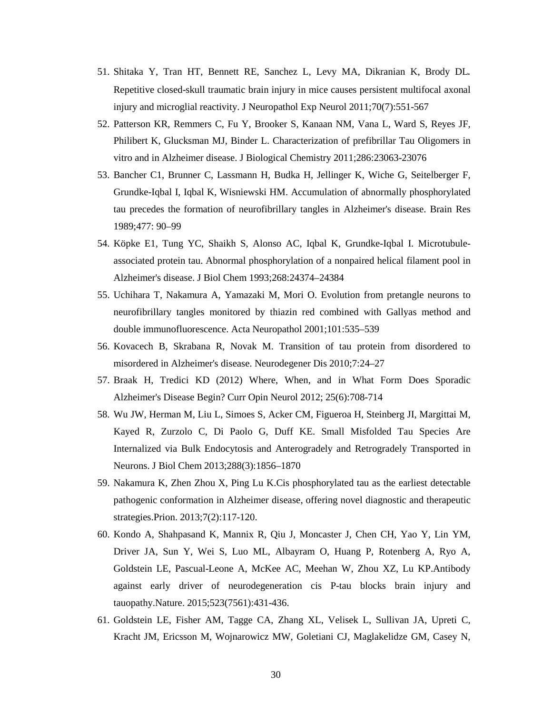- 51. [Shitaka Y,](http://www.ncbi.nlm.nih.gov/pubmed/?term=Shitaka%20Y%5BAuthor%5D&cauthor=true&cauthor_uid=21666502) [Tran HT,](http://www.ncbi.nlm.nih.gov/pubmed/?term=Tran%20HT%5BAuthor%5D&cauthor=true&cauthor_uid=21666502) [Bennett RE,](http://www.ncbi.nlm.nih.gov/pubmed/?term=Bennett%20RE%5BAuthor%5D&cauthor=true&cauthor_uid=21666502) [Sanchez L,](http://www.ncbi.nlm.nih.gov/pubmed/?term=Sanchez%20L%5BAuthor%5D&cauthor=true&cauthor_uid=21666502) [Levy MA,](http://www.ncbi.nlm.nih.gov/pubmed/?term=Levy%20MA%5BAuthor%5D&cauthor=true&cauthor_uid=21666502) [Dikranian K,](http://www.ncbi.nlm.nih.gov/pubmed/?term=Dikranian%20K%5BAuthor%5D&cauthor=true&cauthor_uid=21666502) [Brody DL](http://www.ncbi.nlm.nih.gov/pubmed/?term=Brody%20DL%5BAuthor%5D&cauthor=true&cauthor_uid=21666502). Repetitive closed-skull traumatic brain injury in mice causes persistent multifocal axonal injury and microglial reactivity. J Neuropathol Exp Neurol 2011;70(7):551-567
- 52. Patterson KR, Remmers C, Fu Y, Brooker S, Kanaan NM, Vana L, Ward S, Reyes JF, Philibert K, Glucksman MJ, Binder L. Characterization of prefibrillar Tau Oligomers in vitro and in Alzheimer disease. J Biological Chemistry 2011;286:23063-23076
- 53. [Bancher C1](http://www.ncbi.nlm.nih.gov/pubmed/?term=Bancher%20C%5BAuthor%5D&cauthor=true&cauthor_uid=2495152), [Brunner C,](http://www.ncbi.nlm.nih.gov/pubmed/?term=Brunner%20C%5BAuthor%5D&cauthor=true&cauthor_uid=2495152) [Lassmann H,](http://www.ncbi.nlm.nih.gov/pubmed/?term=Lassmann%20H%5BAuthor%5D&cauthor=true&cauthor_uid=2495152) [Budka H,](http://www.ncbi.nlm.nih.gov/pubmed/?term=Budka%20H%5BAuthor%5D&cauthor=true&cauthor_uid=2495152) [Jellinger K,](http://www.ncbi.nlm.nih.gov/pubmed/?term=Jellinger%20K%5BAuthor%5D&cauthor=true&cauthor_uid=2495152) [Wiche G,](http://www.ncbi.nlm.nih.gov/pubmed/?term=Wiche%20G%5BAuthor%5D&cauthor=true&cauthor_uid=2495152) [Seitelberger F,](http://www.ncbi.nlm.nih.gov/pubmed/?term=Seitelberger%20F%5BAuthor%5D&cauthor=true&cauthor_uid=2495152) [Grundke-Iqbal I,](http://www.ncbi.nlm.nih.gov/pubmed/?term=Grundke-Iqbal%20I%5BAuthor%5D&cauthor=true&cauthor_uid=2495152) [Iqbal K,](http://www.ncbi.nlm.nih.gov/pubmed/?term=Iqbal%20K%5BAuthor%5D&cauthor=true&cauthor_uid=2495152) [Wisniewski HM.](http://www.ncbi.nlm.nih.gov/pubmed/?term=Wisniewski%20HM%5BAuthor%5D&cauthor=true&cauthor_uid=2495152) Accumulation of abnormally phosphorylated tau precedes the formation of neurofibrillary tangles in Alzheimer's disease. Brain Res 1989;477: 90–99
- 54. [Köpke E1](http://www.ncbi.nlm.nih.gov/pubmed/?term=K%C3%B6pke%20E%5BAuthor%5D&cauthor=true&cauthor_uid=8226987), [Tung YC,](http://www.ncbi.nlm.nih.gov/pubmed/?term=Tung%20YC%5BAuthor%5D&cauthor=true&cauthor_uid=8226987) [Shaikh S,](http://www.ncbi.nlm.nih.gov/pubmed/?term=Shaikh%20S%5BAuthor%5D&cauthor=true&cauthor_uid=8226987) [Alonso AC,](http://www.ncbi.nlm.nih.gov/pubmed/?term=Alonso%20AC%5BAuthor%5D&cauthor=true&cauthor_uid=8226987) [Iqbal K,](http://www.ncbi.nlm.nih.gov/pubmed/?term=Iqbal%20K%5BAuthor%5D&cauthor=true&cauthor_uid=8226987) [Grundke-Iqbal I.](http://www.ncbi.nlm.nih.gov/pubmed/?term=Grundke-Iqbal%20I%5BAuthor%5D&cauthor=true&cauthor_uid=8226987) Microtubuleassociated protein tau. Abnormal phosphorylation of a nonpaired helical filament pool in Alzheimer's disease. J Biol Chem 1993;268:24374–24384
- 55. Uchihara T, Nakamura A, Yamazaki M, Mori O. Evolution from pretangle neurons to neurofibrillary tangles monitored by thiazin red combined with Gallyas method and double immunofluorescence. Acta Neuropathol 2001;101:535–539
- 56. Kovacech B, Skrabana R, Novak M. Transition of tau protein from disordered to misordered in Alzheimer's disease. Neurodegener Dis 2010;7:24–27
- 57. Braak H, Tredici KD (2012) Where, When, and in What Form Does Sporadic Alzheimer's Disease Begin? Curr Opin Neurol 2012; 25(6):708-714
- 58. [Wu](http://www.ncbi.nlm.nih.gov/pubmed/?term=Wu%20JW%5Bauth%5D) JW, [Herman](http://www.ncbi.nlm.nih.gov/pubmed/?term=Herman%20M%5Bauth%5D) M, [Liu](http://www.ncbi.nlm.nih.gov/pubmed/?term=Liu%20L%5Bauth%5D) L, [Simoes](http://www.ncbi.nlm.nih.gov/pubmed/?term=Simoes%20S%5Bauth%5D) S, [Acker](http://www.ncbi.nlm.nih.gov/pubmed/?term=Acker%20CM%5Bauth%5D) CM, [Figueroa](http://www.ncbi.nlm.nih.gov/pubmed/?term=Figueroa%20H%5Bauth%5D) H, [Steinberg](http://www.ncbi.nlm.nih.gov/pubmed/?term=Steinberg%20JI%5Bauth%5D) JI, [Margittai](http://www.ncbi.nlm.nih.gov/pubmed/?term=Margittai%20M%5Bauth%5D) M, [Kayed](http://www.ncbi.nlm.nih.gov/pubmed/?term=Kayed%20R%5Bauth%5D) R, [Zurzolo](http://www.ncbi.nlm.nih.gov/pubmed/?term=Zurzolo%20C%5Bauth%5D) C, [Di Paolo](http://www.ncbi.nlm.nih.gov/pubmed/?term=Di%20Paolo%20G%5Bauth%5D) G, [Duff](http://www.ncbi.nlm.nih.gov/pubmed/?term=Duff%20KE%5Bauth%5D) KE. Small Misfolded Tau Species Are Internalized via Bulk Endocytosis and Anterogradely and Retrogradely Transported in Neurons. J Biol Chem 2013;288(3):1856–1870
- 59. [Nakamura K,](http://www.ncbi.nlm.nih.gov/pubmed/?term=Nakamura%20K%5BAuthor%5D&cauthor=true&cauthor_uid=23154634) [Zhen Zhou X,](http://www.ncbi.nlm.nih.gov/pubmed/?term=Zhen%20Zhou%20X%5BAuthor%5D&cauthor=true&cauthor_uid=23154634) [Ping Lu K.](http://www.ncbi.nlm.nih.gov/pubmed/?term=Ping%20Lu%20K%5BAuthor%5D&cauthor=true&cauthor_uid=23154634)Cis phosphorylated tau as the earliest detectable pathogenic conformation in Alzheimer disease, offering novel diagnostic and therapeutic strategies.Prion. 2013;7(2):117-120.
- 60. [Kondo A,](http://www.ncbi.nlm.nih.gov/pubmed/?term=Kondo%20A%5BAuthor%5D&cauthor=true&cauthor_uid=26176913) [Shahpasand K,](http://www.ncbi.nlm.nih.gov/pubmed/?term=Shahpasand%20K%5BAuthor%5D&cauthor=true&cauthor_uid=26176913) [Mannix R,](http://www.ncbi.nlm.nih.gov/pubmed/?term=Mannix%20R%5BAuthor%5D&cauthor=true&cauthor_uid=26176913) [Qiu J,](http://www.ncbi.nlm.nih.gov/pubmed/?term=Qiu%20J%5BAuthor%5D&cauthor=true&cauthor_uid=26176913) [Moncaster J,](http://www.ncbi.nlm.nih.gov/pubmed/?term=Moncaster%20J%5BAuthor%5D&cauthor=true&cauthor_uid=26176913) [Chen CH,](http://www.ncbi.nlm.nih.gov/pubmed/?term=Chen%20CH%5BAuthor%5D&cauthor=true&cauthor_uid=26176913) [Yao Y,](http://www.ncbi.nlm.nih.gov/pubmed/?term=Yao%20Y%5BAuthor%5D&cauthor=true&cauthor_uid=26176913) [Lin YM,](http://www.ncbi.nlm.nih.gov/pubmed/?term=Lin%20YM%5BAuthor%5D&cauthor=true&cauthor_uid=26176913) [Driver JA,](http://www.ncbi.nlm.nih.gov/pubmed/?term=Driver%20JA%5BAuthor%5D&cauthor=true&cauthor_uid=26176913) [Sun Y,](http://www.ncbi.nlm.nih.gov/pubmed/?term=Sun%20Y%5BAuthor%5D&cauthor=true&cauthor_uid=26176913) [Wei S,](http://www.ncbi.nlm.nih.gov/pubmed/?term=Wei%20S%5BAuthor%5D&cauthor=true&cauthor_uid=26176913) [Luo ML,](http://www.ncbi.nlm.nih.gov/pubmed/?term=Luo%20ML%5BAuthor%5D&cauthor=true&cauthor_uid=26176913) [Albayram O,](http://www.ncbi.nlm.nih.gov/pubmed/?term=Albayram%20O%5BAuthor%5D&cauthor=true&cauthor_uid=26176913) [Huang P,](http://www.ncbi.nlm.nih.gov/pubmed/?term=Huang%20P%5BAuthor%5D&cauthor=true&cauthor_uid=26176913) [Rotenberg A,](http://www.ncbi.nlm.nih.gov/pubmed/?term=Rotenberg%20A%5BAuthor%5D&cauthor=true&cauthor_uid=26176913) [Ryo A,](http://www.ncbi.nlm.nih.gov/pubmed/?term=Ryo%20A%5BAuthor%5D&cauthor=true&cauthor_uid=26176913) [Goldstein LE,](http://www.ncbi.nlm.nih.gov/pubmed/?term=Goldstein%20LE%5BAuthor%5D&cauthor=true&cauthor_uid=26176913) [Pascual-Leone A,](http://www.ncbi.nlm.nih.gov/pubmed/?term=Pascual-Leone%20A%5BAuthor%5D&cauthor=true&cauthor_uid=26176913) [McKee AC,](http://www.ncbi.nlm.nih.gov/pubmed/?term=McKee%20AC%5BAuthor%5D&cauthor=true&cauthor_uid=26176913) [Meehan W,](http://www.ncbi.nlm.nih.gov/pubmed/?term=Meehan%20W%5BAuthor%5D&cauthor=true&cauthor_uid=26176913) [Zhou XZ,](http://www.ncbi.nlm.nih.gov/pubmed/?term=Zhou%20XZ%5BAuthor%5D&cauthor=true&cauthor_uid=26176913) [Lu KP.](http://www.ncbi.nlm.nih.gov/pubmed/?term=Lu%20KP%5BAuthor%5D&cauthor=true&cauthor_uid=26176913)Antibody against early driver of neurodegeneration cis P-tau blocks brain injury and tauopathy.Nature. 2015;523(7561):431-436.
- 61. Goldstein LE, Fisher AM, Tagge CA, Zhang XL, Velisek L, Sullivan JA, Upreti C, Kracht JM, Ericsson M, Wojnarowicz MW, Goletiani CJ, Maglakelidze GM, Casey N,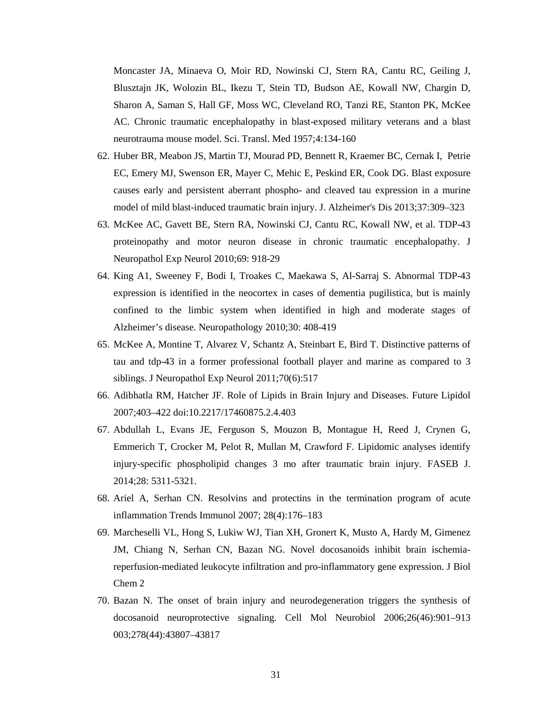Moncaster JA, Minaeva O, Moir RD, Nowinski CJ, Stern RA, Cantu RC, Geiling J, Blusztajn JK, Wolozin BL, Ikezu T, Stein TD, Budson AE, Kowall NW, Chargin D, Sharon A, Saman S, Hall GF, Moss WC, Cleveland RO, Tanzi RE, Stanton PK, McKee AC. Chronic traumatic encephalopathy in blast-exposed military veterans and a blast neurotrauma mouse model. Sci. Transl. Med 1957;4:134-160

- 62. Huber BR, Meabon JS, Martin TJ, Mourad PD, Bennett R, Kraemer BC, Cernak I, Petrie EC, Emery MJ, Swenson ER, Mayer C, Mehic E, Peskind ER, Cook DG. Blast exposure causes early and persistent aberrant phospho- and cleaved tau expression in a murine model of mild blast-induced traumatic brain injury. J. Alzheimer's Dis 2013;37:309–323
- 63. McKee AC, Gavett BE, Stern RA, Nowinski CJ, Cantu RC, Kowall NW, et al. TDP-43 proteinopathy and motor neuron disease in chronic traumatic encephalopathy. J Neuropathol Exp Neurol 2010;69: 918-29
- 64. [King A1](http://www.ncbi.nlm.nih.gov/pubmed/?term=King%20A%5BAuthor%5D&cauthor=true&cauthor_uid=20102526), [Sweeney F,](http://www.ncbi.nlm.nih.gov/pubmed/?term=Sweeney%20F%5BAuthor%5D&cauthor=true&cauthor_uid=20102526) [Bodi I,](http://www.ncbi.nlm.nih.gov/pubmed/?term=Bodi%20I%5BAuthor%5D&cauthor=true&cauthor_uid=20102526) [Troakes C,](http://www.ncbi.nlm.nih.gov/pubmed/?term=Troakes%20C%5BAuthor%5D&cauthor=true&cauthor_uid=20102526) [Maekawa S,](http://www.ncbi.nlm.nih.gov/pubmed/?term=Maekawa%20S%5BAuthor%5D&cauthor=true&cauthor_uid=20102526) [Al-Sarraj S.](http://www.ncbi.nlm.nih.gov/pubmed/?term=Al-Sarraj%20S%5BAuthor%5D&cauthor=true&cauthor_uid=20102526) Abnormal TDP-43 expression is identified in the neocortex in cases of dementia pugilistica, but is mainly confined to the limbic system when identified in high and moderate stages of Alzheimer's disease. Neuropathology 2010;30: 408-419
- 65. McKee A, Montine T, Alvarez V, Schantz A, Steinbart E, Bird T. Distinctive patterns of tau and tdp-43 in a former professional football player and marine as compared to 3 siblings. J Neuropathol Exp Neurol 2011;70(6):517
- 66. [Adibhatla](http://www.ncbi.nlm.nih.gov/pubmed/?term=Adibhatla%20RM%5Bauth%5D) RM, [Hatcher](http://www.ncbi.nlm.nih.gov/pubmed/?term=Hatcher%20JF%5Bauth%5D) JF. Role of Lipids in Brain Injury and Diseases. Future Lipidol 2007;403–422 doi[:10.2217/17460875.2.4.403](http://dx.doi.org/10.2217%2F17460875.2.4.403)
- 67. Abdullah L, Evans JE, Ferguson S, Mouzon B, Montague H, Reed J, Crynen G, Emmerich T, Crocker M, Pelot R, Mullan M, Crawford F. Lipidomic analyses identify injury-specific phospholipid changes 3 mo after traumatic brain injury. FASEB J. 2014;28: 5311-5321.
- 68. Ariel A, Serhan CN. Resolvins and protectins in the termination program of acute inflammation Trends Immunol 2007; 28(4):176–183
- 69. [Marcheselli VL,](http://www.ncbi.nlm.nih.gov/pubmed/?term=Marcheselli%20VL%5BAuthor%5D&cauthor=true&cauthor_uid=12923200) [Hong S,](http://www.ncbi.nlm.nih.gov/pubmed/?term=Hong%20S%5BAuthor%5D&cauthor=true&cauthor_uid=12923200) [Lukiw WJ,](http://www.ncbi.nlm.nih.gov/pubmed/?term=Lukiw%20WJ%5BAuthor%5D&cauthor=true&cauthor_uid=12923200) [Tian XH,](http://www.ncbi.nlm.nih.gov/pubmed/?term=Tian%20XH%5BAuthor%5D&cauthor=true&cauthor_uid=12923200) [Gronert K,](http://www.ncbi.nlm.nih.gov/pubmed/?term=Gronert%20K%5BAuthor%5D&cauthor=true&cauthor_uid=12923200) [Musto A,](http://www.ncbi.nlm.nih.gov/pubmed/?term=Musto%20A%5BAuthor%5D&cauthor=true&cauthor_uid=12923200) [Hardy M,](http://www.ncbi.nlm.nih.gov/pubmed/?term=Hardy%20M%5BAuthor%5D&cauthor=true&cauthor_uid=12923200) [Gimenez](http://www.ncbi.nlm.nih.gov/pubmed/?term=Gimenez%20JM%5BAuthor%5D&cauthor=true&cauthor_uid=12923200)  [JM,](http://www.ncbi.nlm.nih.gov/pubmed/?term=Gimenez%20JM%5BAuthor%5D&cauthor=true&cauthor_uid=12923200) [Chiang N,](http://www.ncbi.nlm.nih.gov/pubmed/?term=Chiang%20N%5BAuthor%5D&cauthor=true&cauthor_uid=12923200) [Serhan CN,](http://www.ncbi.nlm.nih.gov/pubmed/?term=Serhan%20CN%5BAuthor%5D&cauthor=true&cauthor_uid=12923200) [Bazan NG.](http://www.ncbi.nlm.nih.gov/pubmed/?term=Bazan%20NG%5BAuthor%5D&cauthor=true&cauthor_uid=12923200) Novel docosanoids inhibit brain ischemiareperfusion-mediated leukocyte infiltration and pro-inflammatory gene expression. J Biol Chem 2
- 70. Bazan N. The onset of brain injury and neurodegeneration triggers the synthesis of docosanoid neuroprotective signaling. Cell Mol Neurobiol 2006;26(46):901–913 003;278(44):43807–43817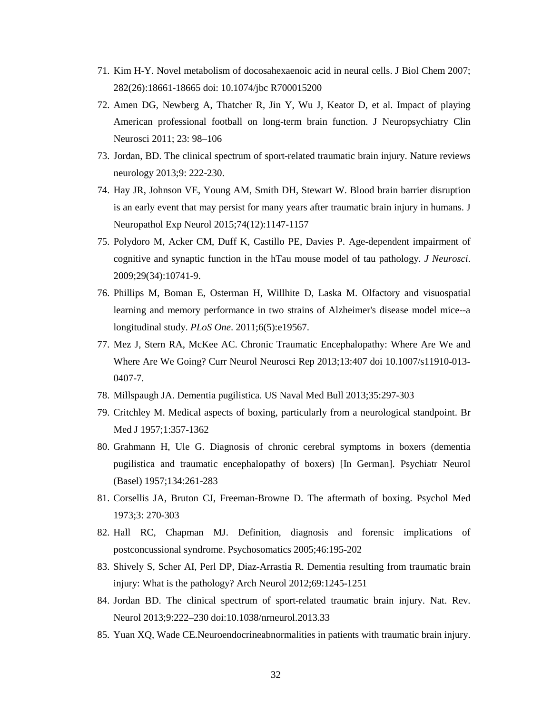- 71. Kim H-Y. Novel metabolism of docosahexaenoic acid in neural cells. J Biol Chem 2007; 282(26):18661-18665 doi: 10.1074/jbc R700015200
- 72. Amen DG, Newberg A, Thatcher R, Jin Y, Wu J, Keator D, et al. Impact of playing American professional football on long-term brain function. J Neuropsychiatry Clin Neurosci 2011; 23: 98–106
- 73. Jordan, BD. The clinical spectrum of sport-related traumatic brain injury. Nature reviews neurology 2013;9: 222-230.
- 74. Hay JR, Johnson VE, Young AM, Smith DH, Stewart W. Blood brain barrier disruption is an early event that may persist for many years after traumatic brain injury in humans. J Neuropathol Exp Neurol 2015;74(12):1147-1157
- 75. Polydoro M, Acker CM, Duff K, Castillo PE, Davies P. Age-dependent impairment of cognitive and synaptic function in the hTau mouse model of tau pathology. *J Neurosci*. 2009;29(34):10741-9.
- 76. Phillips M, Boman E, Osterman H, Willhite D, Laska M. Olfactory and visuospatial learning and memory performance in two strains of Alzheimer's disease model mice--a longitudinal study. *PLoS One*. 2011;6(5):e19567.
- 77. Mez J, Stern RA, McKee AC. Chronic Traumatic Encephalopathy: Where Are We and Where Are We Going? Curr Neurol Neurosci Rep 2013;13:407 doi 10.1007/s11910-013- 0407-7.
- 78. Millspaugh JA. Dementia pugilistica. US Naval Med Bull 2013;35:297-303
- 79. Critchley M. Medical aspects of boxing, particularly from a neurological standpoint. Br Med J 1957;1:357-1362
- 80. Grahmann H, Ule G. Diagnosis of chronic cerebral symptoms in boxers (dementia pugilistica and traumatic encephalopathy of boxers) [In German]. Psychiatr Neurol (Basel) 1957;134:261-283
- 81. Corsellis JA, Bruton CJ, Freeman-Browne D. The aftermath of boxing. Psychol Med 1973;3: 270-303
- 82. Hall RC, Chapman MJ. Definition, diagnosis and forensic implications of postconcussional syndrome. Psychosomatics 2005;46:195-202
- 83. [Shively S,](http://www.ncbi.nlm.nih.gov/pubmed/?term=Shively%20S%5BAuthor%5D&cauthor=true&cauthor_uid=22776913) [Scher AI,](http://www.ncbi.nlm.nih.gov/pubmed/?term=Scher%20AI%5BAuthor%5D&cauthor=true&cauthor_uid=22776913) [Perl DP,](http://www.ncbi.nlm.nih.gov/pubmed/?term=Perl%20DP%5BAuthor%5D&cauthor=true&cauthor_uid=22776913) [Diaz-Arrastia R.](http://www.ncbi.nlm.nih.gov/pubmed/?term=Diaz-Arrastia%20R%5BAuthor%5D&cauthor=true&cauthor_uid=22776913) Dementia resulting from traumatic brain injury: What is the pathology? Arch Neurol 2012;69:1245-1251
- 84. Jordan BD. The clinical spectrum of sport-related traumatic brain injury. Nat. Rev. Neurol 2013;9:222–230 doi:10.1038/nrneurol.2013.33
- 85. Yuan XQ, Wade CE.Neuroendocrineabnormalities in patients with traumatic brain injury.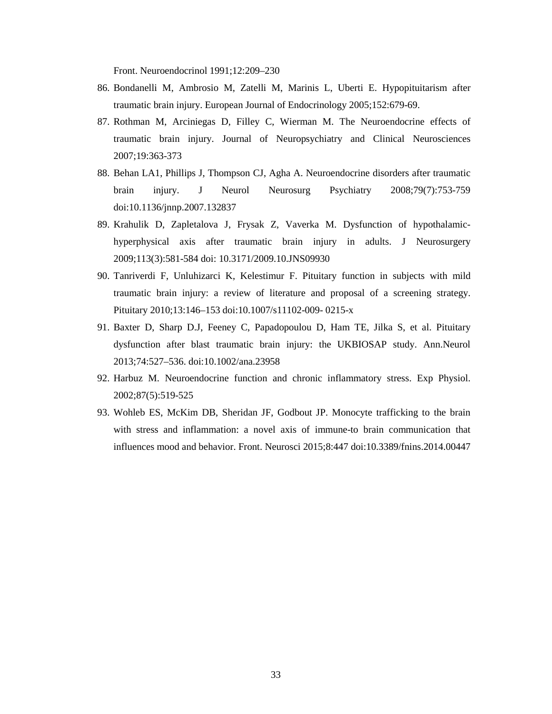Front. Neuroendocrinol 1991;12:209–230

- 86. Bondanelli M, Ambrosio M, Zatelli M, Marinis L, Uberti E. Hypopituitarism after traumatic brain injury. European Journal of Endocrinology 2005;152:679-69.
- 87. Rothman M, Arciniegas D, Filley C, Wierman M. The Neuroendocrine effects of traumatic brain injury. Journal of Neuropsychiatry and Clinical Neurosciences 2007;19:363-373
- 88. [Behan LA1](http://www.ncbi.nlm.nih.gov/pubmed/?term=Behan%20LA%5BAuthor%5D&cauthor=true&cauthor_uid=18559460), [Phillips J,](http://www.ncbi.nlm.nih.gov/pubmed/?term=Phillips%20J%5BAuthor%5D&cauthor=true&cauthor_uid=18559460) [Thompson CJ,](http://www.ncbi.nlm.nih.gov/pubmed/?term=Thompson%20CJ%5BAuthor%5D&cauthor=true&cauthor_uid=18559460) [Agha A.](http://www.ncbi.nlm.nih.gov/pubmed/?term=Agha%20A%5BAuthor%5D&cauthor=true&cauthor_uid=18559460) Neuroendocrine disorders after traumatic brain injury. J Neurol Neurosurg Psychiatry 2008;79(7):753-759 doi:10.1136/jnnp.2007.132837
- 89. Krahulik D, Zapletalova J, Frysak Z, Vaverka M. Dysfunction of hypothalamichyperphysical axis after traumatic brain injury in adults. J Neurosurgery 2009;113(3):581-584 doi: 10.3171/2009.10.JNS09930
- 90. Tanriverdi F, Unluhizarci K, Kelestimur F. Pituitary function in subjects with mild traumatic brain injury: a review of literature and proposal of a screening strategy. Pituitary 2010;13:146–153 doi:10.1007/s11102-009- 0215-x
- 91. Baxter D, Sharp D.J, Feeney C, Papadopoulou D, Ham TE, Jilka S, et al. Pituitary dysfunction after blast traumatic brain injury: the UKBIOSAP study. Ann.Neurol 2013;74:527–536. doi:10.1002/ana.23958
- 92. [Harbuz M.](http://www.ncbi.nlm.nih.gov/pubmed/?term=Harbuz%20M%5BAuthor%5D&cauthor=true&cauthor_uid=12481925) Neuroendocrine function and chronic inflammatory stress. Exp Physiol. 2002;87(5):519-525
- 93. Wohleb ES, McKim DB, Sheridan JF, Godbout JP. Monocyte trafficking to the brain with stress and inflammation: a novel axis of immune-to brain communication that influences mood and behavior. Front. Neurosci 2015;8:447 doi:10.3389/fnins.2014.00447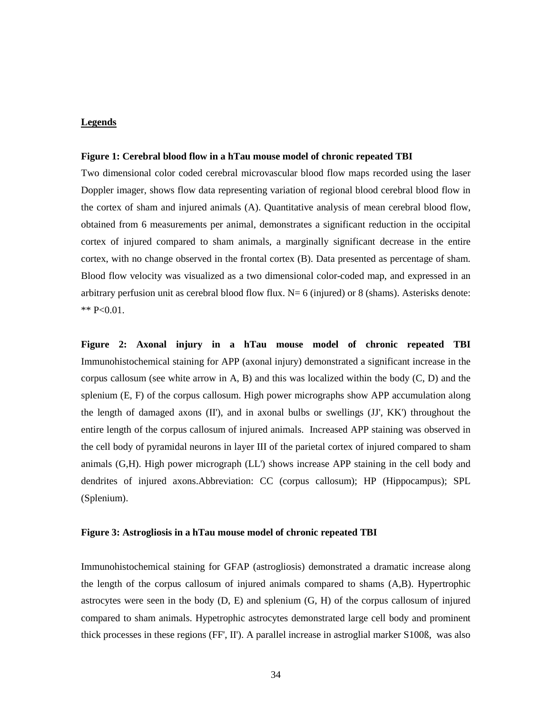### **Legends**

#### **Figure 1: Cerebral blood flow in a hTau mouse model of chronic repeated TBI**

Two dimensional color coded cerebral microvascular blood flow maps recorded using the laser Doppler imager, shows flow data representing variation of regional blood cerebral blood flow in the cortex of sham and injured animals (A). Quantitative analysis of mean cerebral blood flow, obtained from 6 measurements per animal, demonstrates a significant reduction in the occipital cortex of injured compared to sham animals, a marginally significant decrease in the entire cortex, with no change observed in the frontal cortex (B). Data presented as percentage of sham. Blood flow velocity was visualized as a two dimensional color-coded map, and expressed in an arbitrary perfusion unit as cerebral blood flow flux.  $N=6$  (injured) or 8 (shams). Asterisks denote:  $*$  P<0.01.

**Figure 2: Axonal injury in a hTau mouse model of chronic repeated TBI** Immunohistochemical staining for APP (axonal injury) demonstrated a significant increase in the corpus callosum (see white arrow in A, B) and this was localized within the body  $(C, D)$  and the splenium (E, F) of the corpus callosum. High power micrographs show APP accumulation along the length of damaged axons (II'), and in axonal bulbs or swellings (JJ', KK') throughout the entire length of the corpus callosum of injured animals. Increased APP staining was observed in the cell body of pyramidal neurons in layer III of the parietal cortex of injured compared to sham animals (G,H). High power micrograph (LL') shows increase APP staining in the cell body and dendrites of injured axons.Abbreviation: CC (corpus callosum); HP (Hippocampus); SPL (Splenium).

#### **Figure 3: Astrogliosis in a hTau mouse model of chronic repeated TBI**

Immunohistochemical staining for GFAP (astrogliosis) demonstrated a dramatic increase along the length of the corpus callosum of injured animals compared to shams (A,B). Hypertrophic astrocytes were seen in the body  $(D, E)$  and splenium  $(G, H)$  of the corpus callosum of injured compared to sham animals. Hypetrophic astrocytes demonstrated large cell body and prominent thick processes in these regions (FF', II'). A parallel increase in astroglial marker S100ß, was also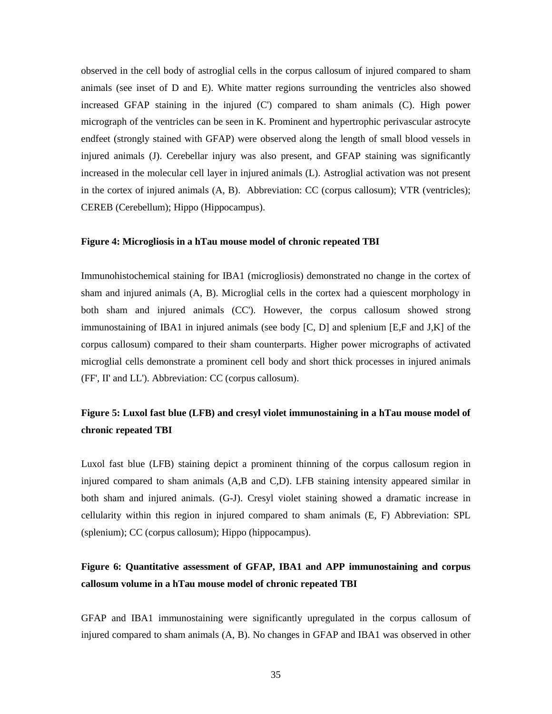observed in the cell body of astroglial cells in the corpus callosum of injured compared to sham animals (see inset of D and E). White matter regions surrounding the ventricles also showed increased GFAP staining in the injured (C') compared to sham animals (C). High power micrograph of the ventricles can be seen in K. Prominent and hypertrophic perivascular astrocyte endfeet (strongly stained with GFAP) were observed along the length of small blood vessels in injured animals (J). Cerebellar injury was also present, and GFAP staining was significantly increased in the molecular cell layer in injured animals (L). Astroglial activation was not present in the cortex of injured animals (A, B). Abbreviation: CC (corpus callosum); VTR (ventricles); CEREB (Cerebellum); Hippo (Hippocampus).

#### **Figure 4: Microgliosis in a hTau mouse model of chronic repeated TBI**

Immunohistochemical staining for IBA1 (microgliosis) demonstrated no change in the cortex of sham and injured animals (A, B). Microglial cells in the cortex had a quiescent morphology in both sham and injured animals (CC'). However, the corpus callosum showed strong immunostaining of IBA1 in injured animals (see body [C, D] and splenium [E,F and J,K] of the corpus callosum) compared to their sham counterparts. Higher power micrographs of activated microglial cells demonstrate a prominent cell body and short thick processes in injured animals (FF', II' and LL'). Abbreviation: CC (corpus callosum).

# **Figure 5: Luxol fast blue (LFB) and cresyl violet immunostaining in a hTau mouse model of chronic repeated TBI**

Luxol fast blue (LFB) staining depict a prominent thinning of the corpus callosum region in injured compared to sham animals (A,B and C,D). LFB staining intensity appeared similar in both sham and injured animals. (G-J). Cresyl violet staining showed a dramatic increase in cellularity within this region in injured compared to sham animals (E, F) Abbreviation: SPL (splenium); CC (corpus callosum); Hippo (hippocampus).

# **Figure 6: Quantitative assessment of GFAP, IBA1 and APP immunostaining and corpus callosum volume in a hTau mouse model of chronic repeated TBI**

GFAP and IBA1 immunostaining were significantly upregulated in the corpus callosum of injured compared to sham animals (A, B). No changes in GFAP and IBA1 was observed in other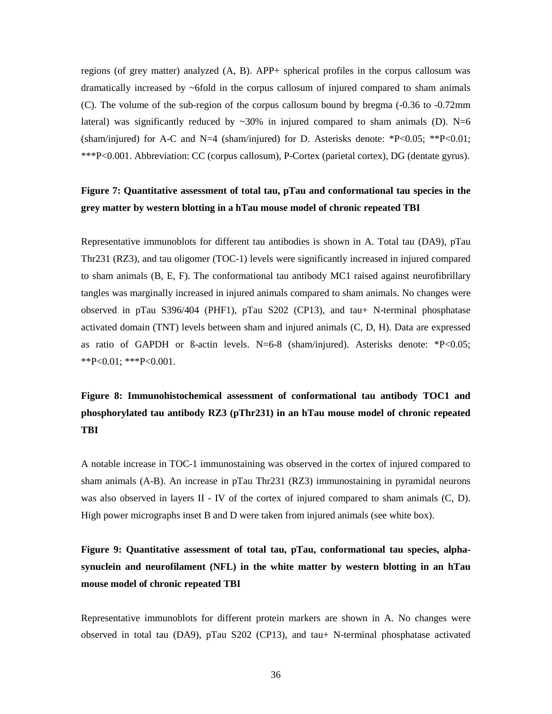regions (of grey matter) analyzed (A, B). APP+ spherical profiles in the corpus callosum was dramatically increased by  $\sim$ 6fold in the corpus callosum of injured compared to sham animals (C). The volume of the sub-region of the corpus callosum bound by bregma (-0.36 to -0.72mm lateral) was significantly reduced by  $\sim$ 30% in injured compared to sham animals (D). N=6 (sham/injured) for A-C and N=4 (sham/injured) for D. Asterisks denote: \*P<0.05; \*\*P<0.01; \*\*\*P<0.001. Abbreviation: CC (corpus callosum), P-Cortex (parietal cortex), DG (dentate gyrus).

## **Figure 7: Quantitative assessment of total tau, pTau and conformational tau species in the grey matter by western blotting in a hTau mouse model of chronic repeated TBI**

Representative immunoblots for different tau antibodies is shown in A. Total tau (DA9), pTau Thr231 (RZ3), and tau oligomer (TOC-1) levels were significantly increased in injured compared to sham animals (B, E, F). The conformational tau antibody MC1 raised against neurofibrillary tangles was marginally increased in injured animals compared to sham animals. No changes were observed in pTau S396/404 (PHF1), pTau S202 (CP13), and tau+ N-terminal phosphatase activated domain (TNT) levels between sham and injured animals (C, D, H). Data are expressed as ratio of GAPDH or  $\beta$ -actin levels. N=6-8 (sham/injured). Asterisks denote: \*P<0.05; \*\*P<0.01; \*\*\*P<0.001.

# **Figure 8: Immunohistochemical assessment of conformational tau antibody TOC1 and phosphorylated tau antibody RZ3 (pThr231) in an hTau mouse model of chronic repeated TBI**

A notable increase in TOC-1 immunostaining was observed in the cortex of injured compared to sham animals (A-B). An increase in pTau Thr231 (RZ3) immunostaining in pyramidal neurons was also observed in layers II - IV of the cortex of injured compared to sham animals (C, D). High power micrographs inset B and D were taken from injured animals (see white box).

**Figure 9: Quantitative assessment of total tau, pTau, conformational tau species, alphasynuclein and neurofilament (NFL) in the white matter by western blotting in an hTau mouse model of chronic repeated TBI**

Representative immunoblots for different protein markers are shown in A. No changes were observed in total tau (DA9), pTau S202 (CP13), and tau+ N-terminal phosphatase activated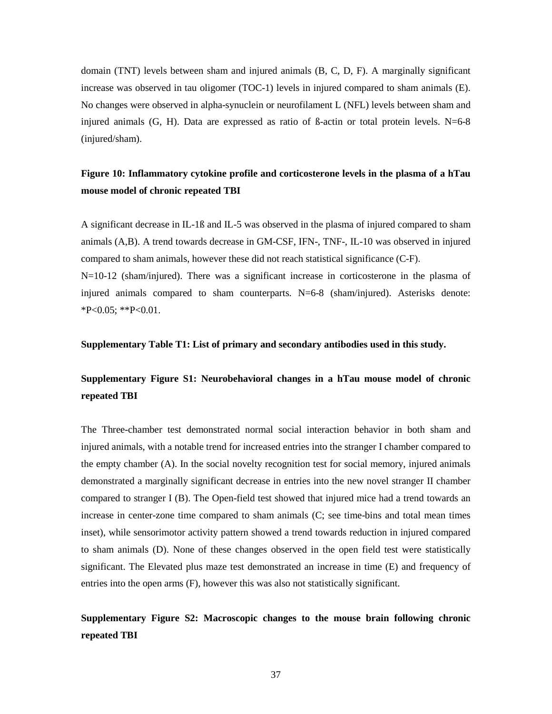domain (TNT) levels between sham and injured animals (B, C, D, F). A marginally significant increase was observed in tau oligomer (TOC-1) levels in injured compared to sham animals (E). No changes were observed in alpha-synuclein or neurofilament L (NFL) levels between sham and injured animals  $(G, H)$ . Data are expressed as ratio of  $\beta$ -actin or total protein levels. N=6-8 (injured/sham).

# **Figure 10: Inflammatory cytokine profile and corticosterone levels in the plasma of a hTau mouse model of chronic repeated TBI**

A significant decrease in IL-1ß and IL-5 was observed in the plasma of injured compared to sham animals (A,B). A trend towards decrease in GM-CSF, IFN-, TNF-, IL-10 was observed in injured compared to sham animals, however these did not reach statistical significance (C-F). N=10-12 (sham/injured). There was a significant increase in corticosterone in the plasma of injured animals compared to sham counterparts. N=6-8 (sham/injured). Asterisks denote:  $*P<0.05$ ;  $*P<0.01$ .

#### **Supplementary Table T1: List of primary and secondary antibodies used in this study.**

# **Supplementary Figure S1: Neurobehavioral changes in a hTau mouse model of chronic repeated TBI**

The Three-chamber test demonstrated normal social interaction behavior in both sham and injured animals, with a notable trend for increased entries into the stranger I chamber compared to the empty chamber (A). In the social novelty recognition test for social memory, injured animals demonstrated a marginally significant decrease in entries into the new novel stranger II chamber compared to stranger I (B). The Open-field test showed that injured mice had a trend towards an increase in center-zone time compared to sham animals (C; see time-bins and total mean times inset), while sensorimotor activity pattern showed a trend towards reduction in injured compared to sham animals (D). None of these changes observed in the open field test were statistically significant. The Elevated plus maze test demonstrated an increase in time (E) and frequency of entries into the open arms (F), however this was also not statistically significant.

# **Supplementary Figure S2: Macroscopic changes to the mouse brain following chronic repeated TBI**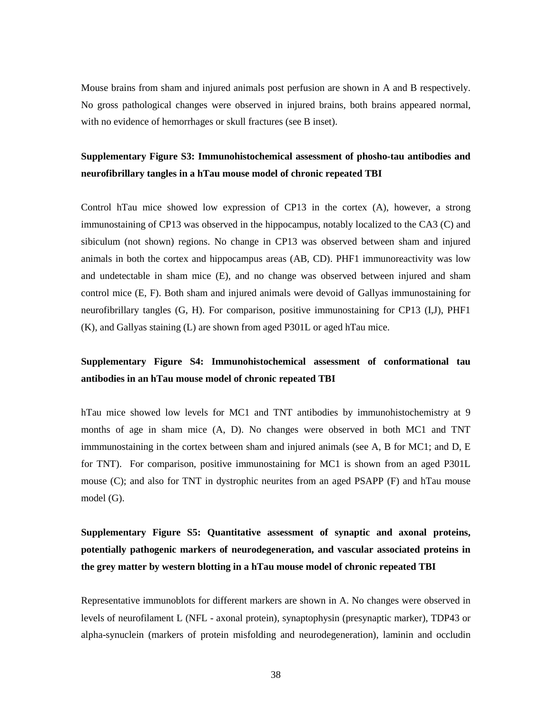Mouse brains from sham and injured animals post perfusion are shown in A and B respectively. No gross pathological changes were observed in injured brains, both brains appeared normal, with no evidence of hemorrhages or skull fractures (see B inset).

# **Supplementary Figure S3: Immunohistochemical assessment of phosho-tau antibodies and neurofibrillary tangles in a hTau mouse model of chronic repeated TBI**

Control hTau mice showed low expression of CP13 in the cortex (A), however, a strong immunostaining of CP13 was observed in the hippocampus, notably localized to the CA3 (C) and sibiculum (not shown) regions. No change in CP13 was observed between sham and injured animals in both the cortex and hippocampus areas (AB, CD). PHF1 immunoreactivity was low and undetectable in sham mice (E), and no change was observed between injured and sham control mice (E, F). Both sham and injured animals were devoid of Gallyas immunostaining for neurofibrillary tangles (G, H). For comparison, positive immunostaining for CP13 (I,J), PHF1 (K), and Gallyas staining (L) are shown from aged P301L or aged hTau mice.

# **Supplementary Figure S4: Immunohistochemical assessment of conformational tau antibodies in an hTau mouse model of chronic repeated TBI**

hTau mice showed low levels for MC1 and TNT antibodies by immunohistochemistry at 9 months of age in sham mice (A, D). No changes were observed in both MC1 and TNT immmunostaining in the cortex between sham and injured animals (see A, B for MC1; and D, E for TNT). For comparison, positive immunostaining for MC1 is shown from an aged P301L mouse (C); and also for TNT in dystrophic neurites from an aged PSAPP (F) and hTau mouse model (G).

**Supplementary Figure S5: Quantitative assessment of synaptic and axonal proteins, potentially pathogenic markers of neurodegeneration, and vascular associated proteins in the grey matter by western blotting in a hTau mouse model of chronic repeated TBI**

Representative immunoblots for different markers are shown in A. No changes were observed in levels of neurofilament L (NFL - axonal protein), synaptophysin (presynaptic marker), TDP43 or alpha-synuclein (markers of protein misfolding and neurodegeneration), laminin and occludin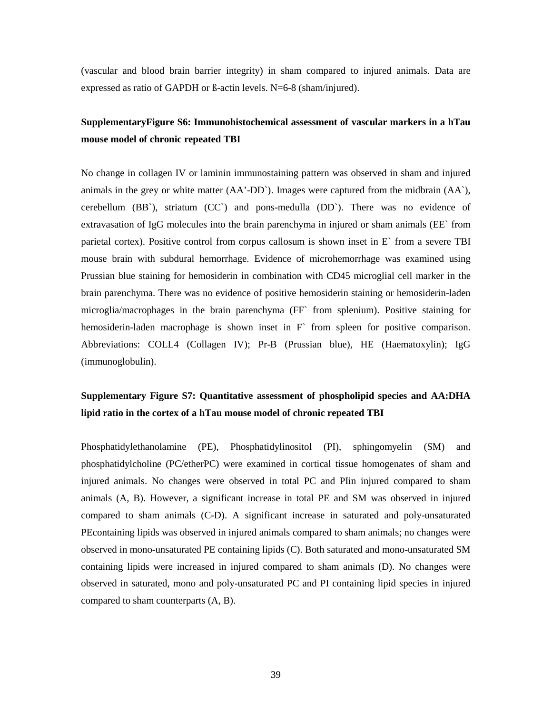(vascular and blood brain barrier integrity) in sham compared to injured animals. Data are expressed as ratio of GAPDH or ß-actin levels. N=6-8 (sham/injured).

# **SupplementaryFigure S6: Immunohistochemical assessment of vascular markers in a hTau mouse model of chronic repeated TBI**

No change in collagen IV or laminin immunostaining pattern was observed in sham and injured animals in the grey or white matter (AA'-DD`). Images were captured from the midbrain (AA`), cerebellum  $(BB)$ , striatum  $(CC)$  and pons-medulla  $(DD)$ . There was no evidence of extravasation of IgG molecules into the brain parenchyma in injured or sham animals (EE` from parietal cortex). Positive control from corpus callosum is shown inset in E` from a severe TBI mouse brain with subdural hemorrhage. Evidence of microhemorrhage was examined using Prussian blue staining for hemosiderin in combination with CD45 microglial cell marker in the brain parenchyma. There was no evidence of positive hemosiderin staining or hemosiderin-laden microglia/macrophages in the brain parenchyma (FF` from splenium). Positive staining for hemosiderin-laden macrophage is shown inset in F` from spleen for positive comparison. Abbreviations: COLL4 (Collagen IV); Pr-B (Prussian blue), HE (Haematoxylin); IgG (immunoglobulin).

# **Supplementary Figure S7: Quantitative assessment of phospholipid species and AA:DHA lipid ratio in the cortex of a hTau mouse model of chronic repeated TBI**

Phosphatidylethanolamine (PE), Phosphatidylinositol (PI), sphingomyelin (SM) and phosphatidylcholine (PC/etherPC) were examined in cortical tissue homogenates of sham and injured animals. No changes were observed in total PC and PIin injured compared to sham animals (A, B). However, a significant increase in total PE and SM was observed in injured compared to sham animals (C-D). A significant increase in saturated and poly-unsaturated PEcontaining lipids was observed in injured animals compared to sham animals; no changes were observed in mono-unsaturated PE containing lipids (C). Both saturated and mono-unsaturated SM containing lipids were increased in injured compared to sham animals (D). No changes were observed in saturated, mono and poly-unsaturated PC and PI containing lipid species in injured compared to sham counterparts (A, B).